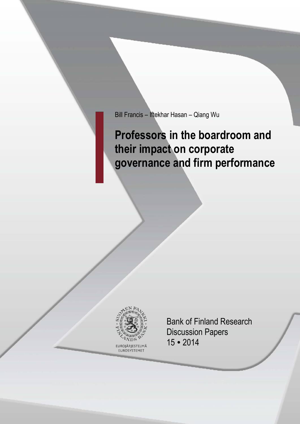Bill Francis – Iftekhar Hasan – Qiang Wu

**Professors in the boardroom and their impact on corporate governance and firm performance**



EUROSYSTEMET

Bank of Finland Research Discussion Papers 15 2014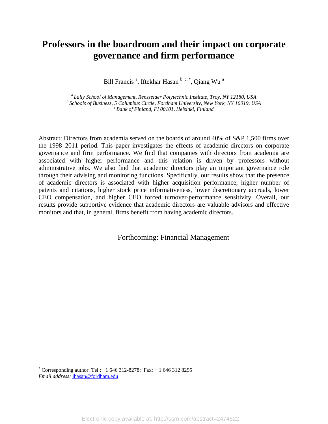# **Professors in the boardroom and their impact on corporate governance and firm performance**

Bill Francis<sup>a</sup>, Iftekhar Hasan b, c, \*, Qiang Wu<sup>a</sup>

*<sup>a</sup>Lally School of Management, Rensselaer Polytechnic Institute, Troy, NY 12180, USA <sup>b</sup>Schools of Business, 5 Columbus Circle, Fordham University, New York, NY 10019, USA <sup>c</sup>Bank of Finland, FI 00101, Helsinki, Finland*

Abstract: Directors from academia served on the boards of around 40% of S&P 1,500 firms over the 1998–2011 period. This paper investigates the effects of academic directors on corporate governance and firm performance. We find that companies with directors from academia are associated with higher performance and this relation is driven by professors without administrative jobs. We also find that academic directors play an important governance role through their advising and monitoring functions. Specifically, our results show that the presence of academic directors is associated with higher acquisition performance, higher number of patents and citations, higher stock price informativeness, lower discretionary accruals, lower CEO compensation, and higher CEO forced turnover-performance sensitivity. Overall, our results provide supportive evidence that academic directors are valuable advisors and effective monitors and that, in general, firms benefit from having academic directors.

Forthcoming: Financial Management

<sup>\*</sup> Corresponding author. Tel.: +1 646 312-8278; Fax: + 1 646 312 8295 *Email address:* [ihasan@fordham.edu](mailto:ihasan@fordham.edu)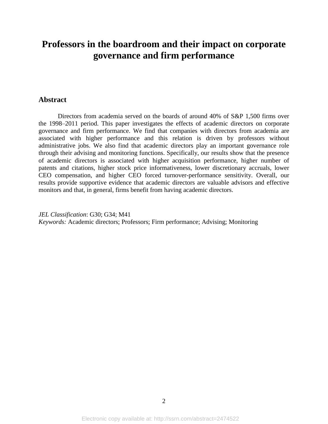# **Professors in the boardroom and their impact on corporate governance and firm performance**

# **Abstract**

Directors from academia served on the boards of around 40% of S&P 1,500 firms over the 1998–2011 period. This paper investigates the effects of academic directors on corporate governance and firm performance. We find that companies with directors from academia are associated with higher performance and this relation is driven by professors without administrative jobs. We also find that academic directors play an important governance role through their advising and monitoring functions. Specifically, our results show that the presence of academic directors is associated with higher acquisition performance, higher number of patents and citations, higher stock price informativeness, lower discretionary accruals, lower CEO compensation, and higher CEO forced turnover-performance sensitivity. Overall, our results provide supportive evidence that academic directors are valuable advisors and effective monitors and that, in general, firms benefit from having academic directors.

*JEL Classification*: G30; G34; M41 *Keywords:* Academic directors; Professors; Firm performance; Advising; Monitoring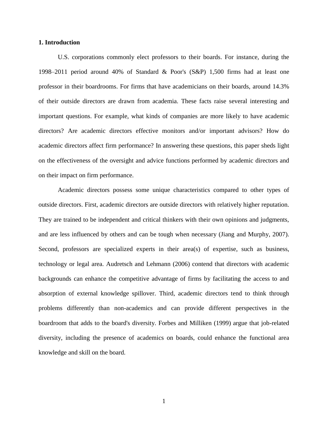## **1. Introduction**

U.S. corporations commonly elect professors to their boards. For instance, during the 1998–2011 period around 40% of Standard & Poor's (S&P) 1,500 firms had at least one professor in their boardrooms. For firms that have academicians on their boards, around 14.3% of their outside directors are drawn from academia. These facts raise several interesting and important questions. For example, what kinds of companies are more likely to have academic directors? Are academic directors effective monitors and/or important advisors? How do academic directors affect firm performance? In answering these questions, this paper sheds light on the effectiveness of the oversight and advice functions performed by academic directors and on their impact on firm performance.

Academic directors possess some unique characteristics compared to other types of outside directors. First, academic directors are outside directors with relatively higher reputation. They are trained to be independent and critical thinkers with their own opinions and judgments, and are less influenced by others and can be tough when necessary (Jiang and Murphy, 2007). Second, professors are specialized experts in their area(s) of expertise, such as business, technology or legal area. Audretsch and Lehmann (2006) contend that directors with academic backgrounds can enhance the competitive advantage of firms by facilitating the access to and absorption of external knowledge spillover. Third, academic directors tend to think through problems differently than non-academics and can provide different perspectives in the boardroom that adds to the board's diversity. Forbes and Milliken (1999) argue that job-related diversity, including the presence of academics on boards, could enhance the functional area knowledge and skill on the board.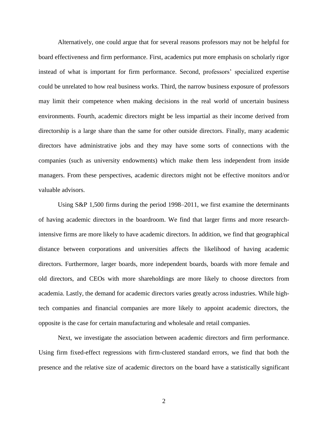Alternatively, one could argue that for several reasons professors may not be helpful for board effectiveness and firm performance. First, academics put more emphasis on scholarly rigor instead of what is important for firm performance. Second, professors' specialized expertise could be unrelated to how real business works. Third, the narrow business exposure of professors may limit their competence when making decisions in the real world of uncertain business environments. Fourth, academic directors might be less impartial as their income derived from directorship is a large share than the same for other outside directors. Finally, many academic directors have administrative jobs and they may have some sorts of connections with the companies (such as university endowments) which make them less independent from inside managers. From these perspectives, academic directors might not be effective monitors and/or valuable advisors.

Using S&P 1,500 firms during the period 1998–2011, we first examine the determinants of having academic directors in the boardroom. We find that larger firms and more researchintensive firms are more likely to have academic directors. In addition, we find that geographical distance between corporations and universities affects the likelihood of having academic directors. Furthermore, larger boards, more independent boards, boards with more female and old directors, and CEOs with more shareholdings are more likely to choose directors from academia. Lastly, the demand for academic directors varies greatly across industries. While hightech companies and financial companies are more likely to appoint academic directors, the opposite is the case for certain manufacturing and wholesale and retail companies.

Next, we investigate the association between academic directors and firm performance. Using firm fixed-effect regressions with firm-clustered standard errors, we find that both the presence and the relative size of academic directors on the board have a statistically significant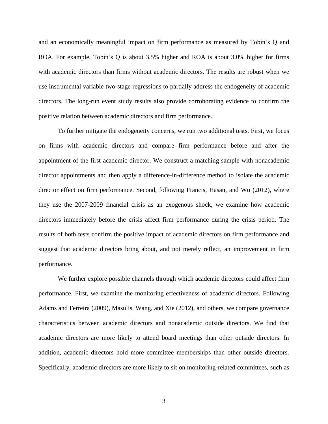and an economically meaningful impact on firm performance as measured by Tobin's Q and ROA. For example, Tobin's Q is about 3.5% higher and ROA is about 3.0% higher for firms with academic directors than firms without academic directors. The results are robust when we use instrumental variable two-stage regressions to partially address the endogeneity of academic directors. The long-run event study results also provide corroborating evidence to confirm the positive relation between academic directors and firm performance.

To further mitigate the endogeneity concerns, we run two additional tests. First, we focus on firms with academic directors and compare firm performance before and after the appointment of the first academic director. We construct a matching sample with nonacademic director appointments and then apply a difference-in-difference method to isolate the academic director effect on firm performance. Second, following Francis, Hasan, and Wu (2012), where they use the 2007-2009 financial crisis as an exogenous shock, we examine how academic directors immediately before the crisis affect firm performance during the crisis period. The results of both tests confirm the positive impact of academic directors on firm performance and suggest that academic directors bring about, and not merely reflect, an improvement in firm performance.

We further explore possible channels through which academic directors could affect firm performance. First, we examine the monitoring effectiveness of academic directors. Following Adams and Ferreira (2009), Masulis, Wang, and Xie (2012), and others, we compare governance characteristics between academic directors and nonacademic outside directors. We find that academic directors are more likely to attend board meetings than other outside directors. In addition, academic directors hold more committee memberships than other outside directors. Specifically, academic directors are more likely to sit on monitoring-related committees, such as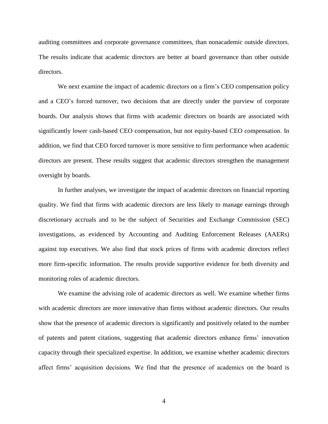auditing committees and corporate governance committees, than nonacademic outside directors. The results indicate that academic directors are better at board governance than other outside directors.

We next examine the impact of academic directors on a firm's CEO compensation policy and a CEO's forced turnover, two decisions that are directly under the purview of corporate boards. Our analysis shows that firms with academic directors on boards are associated with significantly lower cash-based CEO compensation, but not equity-based CEO compensation. In addition, we find that CEO forced turnover is more sensitive to firm performance when academic directors are present. These results suggest that academic directors strengthen the management oversight by boards.

In further analyses, we investigate the impact of academic directors on financial reporting quality. We find that firms with academic directors are less likely to manage earnings through discretionary accruals and to be the subject of Securities and Exchange Commission (SEC) investigations, as evidenced by Accounting and Auditing Enforcement Releases (AAERs) against top executives. We also find that stock prices of firms with academic directors reflect more firm-specific information. The results provide supportive evidence for both diversity and monitoring roles of academic directors.

We examine the advising role of academic directors as well. We examine whether firms with academic directors are more innovative than firms without academic directors. Our results show that the presence of academic directors is significantly and positively related to the number of patents and patent citations, suggesting that academic directors enhance firms' innovation capacity through their specialized expertise. In addition, we examine whether academic directors affect firms' acquisition decisions. We find that the presence of academics on the board is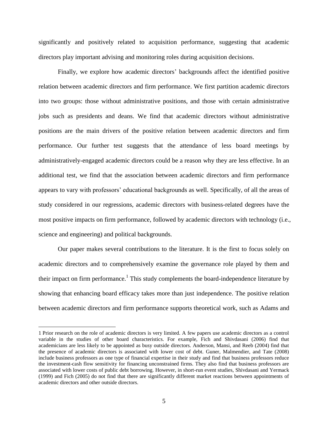significantly and positively related to acquisition performance, suggesting that academic directors play important advising and monitoring roles during acquisition decisions.

Finally, we explore how academic directors' backgrounds affect the identified positive relation between academic directors and firm performance. We first partition academic directors into two groups: those without administrative positions, and those with certain administrative jobs such as presidents and deans. We find that academic directors without administrative positions are the main drivers of the positive relation between academic directors and firm performance. Our further test suggests that the attendance of less board meetings by administratively-engaged academic directors could be a reason why they are less effective. In an additional test, we find that the association between academic directors and firm performance appears to vary with professors' educational backgrounds as well. Specifically, of all the areas of study considered in our regressions, academic directors with business-related degrees have the most positive impacts on firm performance, followed by academic directors with technology (i.e., science and engineering) and political backgrounds.

Our paper makes several contributions to the literature. It is the first to focus solely on academic directors and to comprehensively examine the governance role played by them and their impact on firm performance.<sup>1</sup> This study complements the board-independence literature by showing that enhancing board efficacy takes more than just independence. The positive relation between academic directors and firm performance supports theoretical work, such as Adams and

<sup>1</sup> Prior research on the role of academic directors is very limited. A few papers use academic directors as a control variable in the studies of other board characteristics. For example, Fich and Shivdasani (2006) find that academicians are less likely to be appointed as busy outside directors. Anderson, Mansi, and Reeb (2004) find that the presence of academic directors is associated with lower cost of debt. Guner, Malmendier, and Tate (2008) include business professors as one type of financial expertise in their study and find that business professors reduce the investment-cash flow sensitivity for financing unconstrained firms. They also find that business professors are associated with lower costs of public debt borrowing. However, in short-run event studies, Shivdasani and Yermack (1999) and Fich (2005) do not find that there are significantly different market reactions between appointments of academic directors and other outside directors.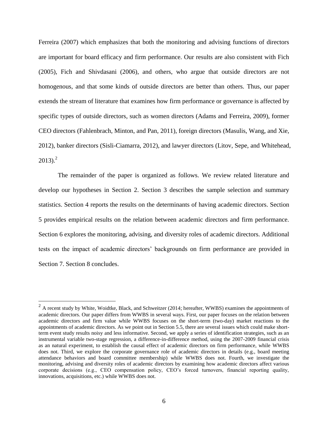Ferreira (2007) which emphasizes that both the monitoring and advising functions of directors are important for board efficacy and firm performance. Our results are also consistent with Fich (2005), Fich and Shivdasani (2006), and others, who argue that outside directors are not homogenous, and that some kinds of outside directors are better than others. Thus, our paper extends the stream of literature that examines how firm performance or governance is affected by specific types of outside directors, such as women directors (Adams and Ferreira, 2009), former CEO directors (Fahlenbrach, Minton, and Pan, 2011), foreign directors (Masulis, Wang, and Xie, 2012), banker directors (Sisli-Ciamarra, 2012), and lawyer directors (Litov, Sepe, and Whitehead,  $2013$ <sup>2</sup>

The remainder of the paper is organized as follows. We review related literature and develop our hypotheses in Section 2. Section 3 describes the sample selection and summary statistics. Section 4 reports the results on the determinants of having academic directors. Section 5 provides empirical results on the relation between academic directors and firm performance. Section 6 explores the monitoring, advising, and diversity roles of academic directors. Additional tests on the impact of academic directors' backgrounds on firm performance are provided in Section 7. Section 8 concludes.

 $2$  A recent study by White, Woidtke, Black, and Schweitzer (2014; hereafter, WWBS) examines the appointments of academic directors. Our paper differs from WWBS in several ways. First, our paper focuses on the relation between academic directors and firm value while WWBS focuses on the short-term (two-day) market reactions to the appointments of academic directors. As we point out in Section 5.5, there are several issues which could make shortterm event study results noisy and less informative. Second, we apply a series of identification strategies, such as an instrumental variable two-stage regression, a difference-in-difference method, using the 2007-2009 financial crisis as an natural experiment, to establish the causal effect of academic directors on firm performance, while WWBS does not. Third, we explore the corporate governance role of academic directors in details (e.g., board meeting attendance behaviors and board committee membership) while WWBS does not. Fourth, we investigate the monitoring, advising and diversity roles of academic directors by examining how academic directors affect various corporate decisions (e.g., CEO compensation policy, CEO's forced turnovers, financial reporting quality, innovations, acquisitions, etc.) while WWBS does not.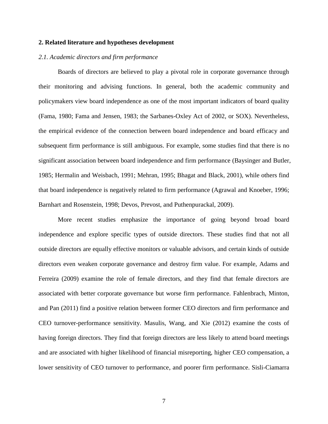## **2. Related literature and hypotheses development**

## *2.1. Academic directors and firm performance*

Boards of directors are believed to play a pivotal role in corporate governance through their monitoring and advising functions. In general, both the academic community and policymakers view board independence as one of the most important indicators of board quality (Fama, 1980; Fama and Jensen, 1983; the Sarbanes-Oxley Act of 2002, or SOX). Nevertheless, the empirical evidence of the connection between board independence and board efficacy and subsequent firm performance is still ambiguous. For example, some studies find that there is no significant association between board independence and firm performance (Baysinger and Butler, 1985; Hermalin and Weisbach, 1991; Mehran, 1995; Bhagat and Black, 2001), while others find that board independence is negatively related to firm performance (Agrawal and Knoeber, 1996; Barnhart and Rosenstein, 1998; Devos, Prevost, and Puthenpurackal, 2009).

More recent studies emphasize the importance of going beyond broad board independence and explore specific types of outside directors. These studies find that not all outside directors are equally effective monitors or valuable advisors, and certain kinds of outside directors even weaken corporate governance and destroy firm value. For example, Adams and Ferreira (2009) examine the role of female directors, and they find that female directors are associated with better corporate governance but worse firm performance. Fahlenbrach, Minton, and Pan (2011) find a positive relation between former CEO directors and firm performance and CEO turnover-performance sensitivity. Masulis, Wang, and Xie (2012) examine the costs of having foreign directors. They find that foreign directors are less likely to attend board meetings and are associated with higher likelihood of financial misreporting, higher CEO compensation, a lower sensitivity of CEO turnover to performance, and poorer firm performance. Sisli-Ciamarra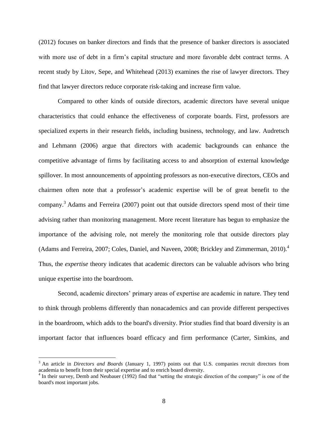(2012) focuses on banker directors and finds that the presence of banker directors is associated with more use of debt in a firm's capital structure and more favorable debt contract terms. A recent study by Litov, Sepe, and Whitehead (2013) examines the rise of lawyer directors. They find that lawyer directors reduce corporate risk-taking and increase firm value.

Compared to other kinds of outside directors, academic directors have several unique characteristics that could enhance the effectiveness of corporate boards. First, professors are specialized experts in their research fields, including business, technology, and law. Audretsch and Lehmann (2006) argue that directors with academic backgrounds can enhance the competitive advantage of firms by facilitating access to and absorption of external knowledge spillover. In most announcements of appointing professors as non-executive directors, CEOs and chairmen often note that a professor's academic expertise will be of great benefit to the company.<sup>3</sup> Adams and Ferreira (2007) point out that outside directors spend most of their time advising rather than monitoring management. More recent literature has begun to emphasize the importance of the advising role, not merely the monitoring role that outside directors play (Adams and Ferreira, 2007; Coles, Daniel, and Naveen, 2008; Brickley and Zimmerman, 2010).<sup>4</sup> Thus, the *expertise* theory indicates that academic directors can be valuable advisors who bring unique expertise into the boardroom.

Second, academic directors' primary areas of expertise are academic in nature. They tend to think through problems differently than nonacademics and can provide different perspectives in the boardroom, which adds to the board's diversity. Prior studies find that board diversity is an important factor that influences board efficacy and firm performance (Carter, Simkins, and

<sup>&</sup>lt;sup>3</sup> An article in *Directors and Boards* (January 1, 1997) points out that U.S. companies recruit directors from academia to benefit from their special expertise and to enrich board diversity.

<sup>&</sup>lt;sup>4</sup> In their survey, Demb and Neubauer (1992) find that "setting the strategic direction of the company" is one of the board's most important jobs.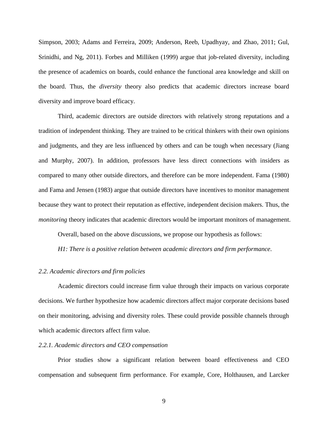Simpson, 2003; Adams and Ferreira, 2009; Anderson, Reeb, Upadhyay, and Zhao, 2011; Gul, Srinidhi, and Ng, 2011). Forbes and Milliken (1999) argue that job-related diversity, including the presence of academics on boards, could enhance the functional area knowledge and skill on the board. Thus, the *diversity* theory also predicts that academic directors increase board diversity and improve board efficacy.

Third, academic directors are outside directors with relatively strong reputations and a tradition of independent thinking. They are trained to be critical thinkers with their own opinions and judgments, and they are less influenced by others and can be tough when necessary (Jiang and Murphy, 2007). In addition, professors have less direct connections with insiders as compared to many other outside directors, and therefore can be more independent. Fama (1980) and Fama and Jensen (1983) argue that outside directors have incentives to monitor management because they want to protect their reputation as effective, independent decision makers. Thus, the *monitoring* theory indicates that academic directors would be important monitors of management.

Overall, based on the above discussions, we propose our hypothesis as follows:

*H1: There is a positive relation between academic directors and firm performance.*

## *2.2. Academic directors and firm policies*

Academic directors could increase firm value through their impacts on various corporate decisions. We further hypothesize how academic directors affect major corporate decisions based on their monitoring, advising and diversity roles. These could provide possible channels through which academic directors affect firm value.

## *2.2.1. Academic directors and CEO compensation*

Prior studies show a significant relation between board effectiveness and CEO compensation and subsequent firm performance. For example, Core, Holthausen, and Larcker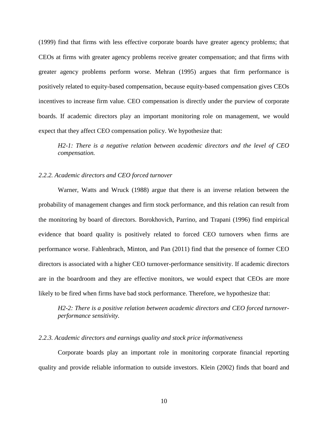(1999) find that firms with less effective corporate boards have greater agency problems; that CEOs at firms with greater agency problems receive greater compensation; and that firms with greater agency problems perform worse. Mehran (1995) argues that firm performance is positively related to equity-based compensation, because equity-based compensation gives CEOs incentives to increase firm value. CEO compensation is directly under the purview of corporate boards. If academic directors play an important monitoring role on management, we would expect that they affect CEO compensation policy. We hypothesize that:

*H2-1: There is a negative relation between academic directors and the level of CEO compensation.*

## *2.2.2. Academic directors and CEO forced turnover*

Warner, Watts and Wruck (1988) argue that there is an inverse relation between the probability of management changes and firm stock performance, and this relation can result from the monitoring by board of directors. Borokhovich, Parrino, and Trapani (1996) find empirical evidence that board quality is positively related to forced CEO turnovers when firms are performance worse. Fahlenbrach, Minton, and Pan (2011) find that the presence of former CEO directors is associated with a higher CEO turnover-performance sensitivity. If academic directors are in the boardroom and they are effective monitors, we would expect that CEOs are more likely to be fired when firms have bad stock performance. Therefore, we hypothesize that:

*H2-2: There is a positive relation between academic directors and CEO forced turnoverperformance sensitivity.*

## *2.2.3. Academic directors and earnings quality and stock price informativeness*

Corporate boards play an important role in monitoring corporate financial reporting quality and provide reliable information to outside investors. Klein (2002) finds that board and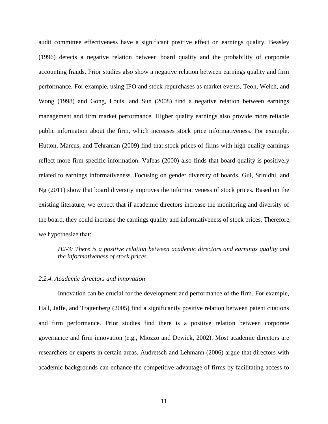audit committee effectiveness have a significant positive effect on earnings quality. Beasley (1996) detects a negative relation between board quality and the probability of corporate accounting frauds. Prior studies also show a negative relation between earnings quality and firm performance. For example, using IPO and stock repurchases as market events, Teoh, Welch, and Wong (1998) and Gong, Louis, and Sun (2008) find a negative relation between earnings management and firm market performance. Higher quality earnings also provide more reliable public information about the firm, which increases stock price informativeness. For example, Hutton, Marcus, and Tehranian (2009) find that stock prices of firms with high quality earnings reflect more firm-specific information. Vafeas (2000) also finds that board quality is positively related to earnings informativeness. Focusing on gender diversity of boards, Gul, Srinidhi, and Ng (2011) show that board diversity improves the informativeness of stock prices. Based on the existing literature, we expect that if academic directors increase the monitoring and diversity of the board, they could increase the earnings quality and informativeness of stock prices. Therefore, we hypothesize that:

# *H2-3: There is a positive relation between academic directors and earnings quality and the informativeness of stock prices.*

## *2.2.4. Academic directors and innovation*

Innovation can be crucial for the development and performance of the firm. For example, Hall, Jaffe, and Trajtenberg (2005) find a significantly positive relation between patent citations and firm performance. Prior studies find there is a positive relation between corporate governance and firm innovation (e.g., Miozzo and Dewick, 2002). Most academic directors are researchers or experts in certain areas. Audretsch and Lehmann (2006) argue that directors with academic backgrounds can enhance the competitive advantage of firms by facilitating access to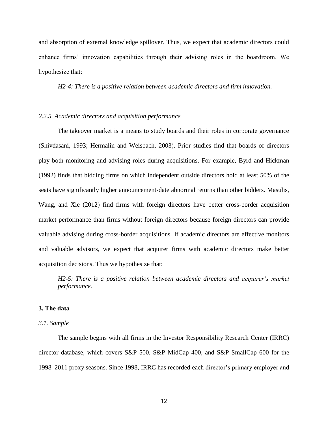and absorption of external knowledge spillover. Thus, we expect that academic directors could enhance firms' innovation capabilities through their advising roles in the boardroom. We hypothesize that:

*H2-4: There is a positive relation between academic directors and firm innovation.* 

## *2.2.5. Academic directors and acquisition performance*

The takeover market is a means to study boards and their roles in corporate governance (Shivdasani, 1993; Hermalin and Weisbach, 2003). Prior studies find that boards of directors play both monitoring and advising roles during acquisitions. For example, Byrd and Hickman (1992) finds that bidding firms on which independent outside directors hold at least 50% of the seats have significantly higher announcement-date abnormal returns than other bidders. Masulis, Wang, and Xie (2012) find firms with foreign directors have better cross-border acquisition market performance than firms without foreign directors because foreign directors can provide valuable advising during cross-border acquisitions. If academic directors are effective monitors and valuable advisors, we expect that acquirer firms with academic directors make better acquisition decisions. Thus we hypothesize that:

*H2-5: There is a positive relation between academic directors and acquirer's market performance.* 

### **3. The data**

#### *3.1. Sample*

The sample begins with all firms in the Investor Responsibility Research Center (IRRC) director database, which covers S&P 500, S&P MidCap 400, and S&P SmallCap 600 for the 1998–2011 proxy seasons. Since 1998, IRRC has recorded each director's primary employer and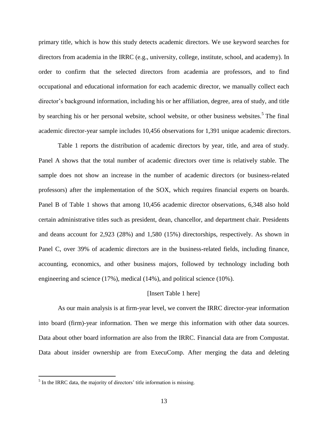primary title, which is how this study detects academic directors. We use keyword searches for directors from academia in the IRRC (e.g., university, college, institute, school, and academy). In order to confirm that the selected directors from academia are professors, and to find occupational and educational information for each academic director, we manually collect each director's background information, including his or her affiliation, degree, area of study, and title by searching his or her personal website, school website, or other business websites.<sup>5</sup> The final academic director-year sample includes 10,456 observations for 1,391 unique academic directors.

Table 1 reports the distribution of academic directors by year, title, and area of study. Panel A shows that the total number of academic directors over time is relatively stable. The sample does not show an increase in the number of academic directors (or business-related professors) after the implementation of the SOX, which requires financial experts on boards. Panel B of Table 1 shows that among 10,456 academic director observations, 6,348 also hold certain administrative titles such as president, dean, chancellor, and department chair. Presidents and deans account for 2,923 (28%) and 1,580 (15%) directorships, respectively. As shown in Panel C, over 39% of academic directors are in the business-related fields, including finance, accounting, economics, and other business majors, followed by technology including both engineering and science (17%), medical (14%), and political science (10%).

## [Insert Table 1 here]

As our main analysis is at firm-year level, we convert the IRRC director-year information into board (firm)-year information. Then we merge this information with other data sources. Data about other board information are also from the IRRC. Financial data are from Compustat. Data about insider ownership are from ExecuComp. After merging the data and deleting

 $<sup>5</sup>$  In the IRRC data, the majority of directors' title information is missing.</sup>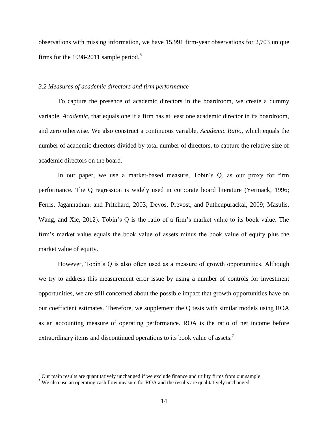observations with missing information, we have 15,991 firm-year observations for 2,703 unique firms for the 1998-2011 sample period.<sup>6</sup>

## *3.2 Measures of academic directors and firm performance*

To capture the presence of academic directors in the boardroom, we create a dummy variable, *Academic*, that equals one if a firm has at least one academic director in its boardroom, and zero otherwise. We also construct a continuous variable, *Academic Ratio*, which equals the number of academic directors divided by total number of directors, to capture the relative size of academic directors on the board.

In our paper, we use a market-based measure, Tobin's Q, as our proxy for firm performance. The Q regression is widely used in corporate board literature (Yermack, 1996; Ferris, Jagannathan, and Pritchard, 2003; Devos, Prevost, and Puthenpurackal, 2009; Masulis, Wang, and Xie, 2012). Tobin's Q is the ratio of a firm's market value to its book value. The firm's market value equals the book value of assets minus the book value of equity plus the market value of equity.

However, Tobin's Q is also often used as a measure of growth opportunities. Although we try to address this measurement error issue by using a number of controls for investment opportunities, we are still concerned about the possible impact that growth opportunities have on our coefficient estimates. Therefore, we supplement the Q tests with similar models using ROA as an accounting measure of operating performance. ROA is the ratio of net income before extraordinary items and discontinued operations to its book value of assets.<sup>7</sup>

<sup>6</sup> Our main results are quantitatively unchanged if we exclude finance and utility firms from our sample.

<sup>&</sup>lt;sup>7</sup> We also use an operating cash flow measure for ROA and the results are qualitatively unchanged.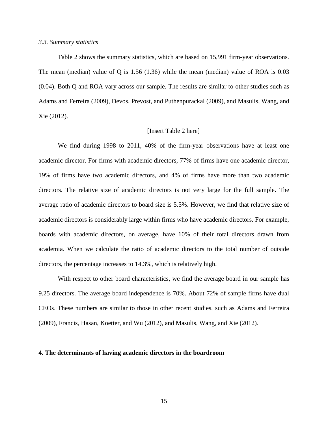#### *3.3. Summary statistics*

Table 2 shows the summary statistics, which are based on 15,991 firm-year observations. The mean (median) value of Q is 1.56 (1.36) while the mean (median) value of ROA is 0.03 (0.04). Both Q and ROA vary across our sample. The results are similar to other studies such as Adams and Ferreira (2009), Devos, Prevost, and Puthenpurackal (2009), and Masulis, Wang, and Xie (2012).

## [Insert Table 2 here]

We find during 1998 to 2011, 40% of the firm-year observations have at least one academic director. For firms with academic directors, 77% of firms have one academic director, 19% of firms have two academic directors, and 4% of firms have more than two academic directors. The relative size of academic directors is not very large for the full sample. The average ratio of academic directors to board size is 5.5%. However, we find that relative size of academic directors is considerably large within firms who have academic directors. For example, boards with academic directors, on average, have 10% of their total directors drawn from academia. When we calculate the ratio of academic directors to the total number of outside directors, the percentage increases to 14.3%, which is relatively high.

With respect to other board characteristics, we find the average board in our sample has 9.25 directors. The average board independence is 70%. About 72% of sample firms have dual CEOs. These numbers are similar to those in other recent studies, such as Adams and Ferreira (2009), Francis, Hasan, Koetter, and Wu (2012), and Masulis, Wang, and Xie (2012).

#### **4. The determinants of having academic directors in the boardroom**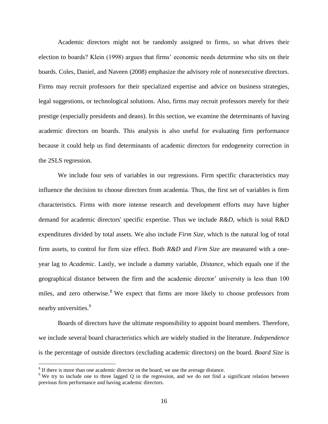Academic directors might not be randomly assigned to firms, so what drives their election to boards? Klein (1998) argues that firms' economic needs determine who sits on their boards. Coles, Daniel, and Naveen (2008) emphasize the advisory role of nonexecutive directors. Firms may recruit professors for their specialized expertise and advice on business strategies, legal suggestions, or technological solutions. Also, firms may recruit professors merely for their prestige (especially presidents and deans). In this section, we examine the determinants of having academic directors on boards. This analysis is also useful for evaluating firm performance because it could help us find determinants of academic directors for endogeneity correction in the 2SLS regression.

We include four sets of variables in our regressions. Firm specific characteristics may influence the decision to choose directors from academia. Thus, the first set of variables is firm characteristics. Firms with more intense research and development efforts may have higher demand for academic directors' specific expertise. Thus we include *R&D*, which is total R&D expenditures divided by total assets. We also include *Firm Size*, which is the natural log of total firm assets, to control for firm size effect. Both *R&D* and *Firm Size* are measured with a oneyear lag to *Academic*. Lastly, we include a dummy variable, *Distance*, which equals one if the geographical distance between the firm and the academic director' university is less than 100 miles, and zero otherwise.<sup>8</sup> We expect that firms are more likely to choose professors from nearby universities.<sup>9</sup>

Boards of directors have the ultimate responsibility to appoint board members. Therefore, we include several board characteristics which are widely studied in the literature. *Independence* is the percentage of outside directors (excluding academic directors) on the board. *Board Size* is

 $8$  If there is more than one academic director on the board, we use the average distance.

<sup>&</sup>lt;sup>9</sup> We try to include one to three lagged Q in the regression, and we do not find a significant relation between previous firm performance and having academic directors.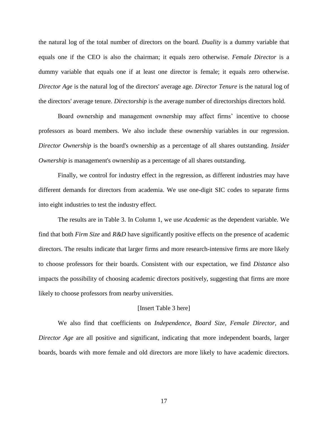the natural log of the total number of directors on the board. *Duality* is a dummy variable that equals one if the CEO is also the chairman; it equals zero otherwise. *Female Director* is a dummy variable that equals one if at least one director is female; it equals zero otherwise. *Director Age* is the natural log of the directors' average age. *Director Tenure* is the natural log of the directors' average tenure. *Directorship* is the average number of directorships directors hold.

Board ownership and management ownership may affect firms' incentive to choose professors as board members. We also include these ownership variables in our regression. *Director Ownership* is the board's ownership as a percentage of all shares outstanding. *Insider Ownership* is management's ownership as a percentage of all shares outstanding.

Finally, we control for industry effect in the regression, as different industries may have different demands for directors from academia. We use one-digit SIC codes to separate firms into eight industries to test the industry effect.

The results are in Table 3. In Column 1, we use *Academic* as the dependent variable. We find that both *Firm Size* and *R&D* have significantly positive effects on the presence of academic directors. The results indicate that larger firms and more research-intensive firms are more likely to choose professors for their boards. Consistent with our expectation, we find *Distance* also impacts the possibility of choosing academic directors positively, suggesting that firms are more likely to choose professors from nearby universities.

### [Insert Table 3 here]

We also find that coefficients on *Independence*, *Board Size*, *Female Director*, and *Director Age* are all positive and significant, indicating that more independent boards, larger boards, boards with more female and old directors are more likely to have academic directors.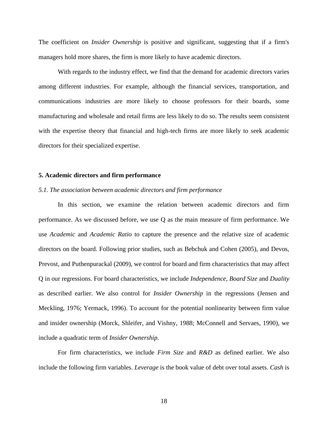The coefficient on *Insider Ownership* is positive and significant, suggesting that if a firm's managers hold more shares, the firm is more likely to have academic directors.

With regards to the industry effect, we find that the demand for academic directors varies among different industries. For example, although the financial services, transportation, and communications industries are more likely to choose professors for their boards, some manufacturing and wholesale and retail firms are less likely to do so. The results seem consistent with the expertise theory that financial and high-tech firms are more likely to seek academic directors for their specialized expertise.

## **5. Academic directors and firm performance**

## *5.1. The association between academic directors and firm performance*

In this section, we examine the relation between academic directors and firm performance. As we discussed before, we use Q as the main measure of firm performance. We use *Academic* and *Academic Ratio* to capture the presence and the relative size of academic directors on the board. Following prior studies, such as Bebchuk and Cohen (2005), and Devos, Prevost, and Puthenpurackal (2009), we control for board and firm characteristics that may affect Q in our regressions. For board characteristics, we include *Independence*, *Board Size* and *Duality* as described earlier. We also control for *Insider Ownership* in the regressions (Jensen and Meckling, 1976; Yermack, 1996). To account for the potential nonlinearity between firm value and insider ownership (Morck, Shleifer, and Vishny, 1988; McConnell and Servaes, 1990), we include a quadratic term of *Insider Ownership*.

For firm characteristics, we include *Firm Size* and *R&D* as defined earlier. We also include the following firm variables. *Leverage* is the book value of debt over total assets. *Cash* is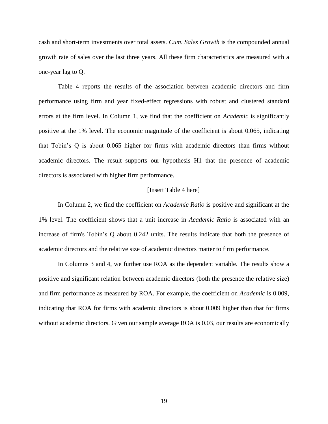cash and short-term investments over total assets. *Cum. Sales Growth* is the compounded annual growth rate of sales over the last three years. All these firm characteristics are measured with a one-year lag to Q.

Table 4 reports the results of the association between academic directors and firm performance using firm and year fixed-effect regressions with robust and clustered standard errors at the firm level. In Column 1, we find that the coefficient on *Academic* is significantly positive at the 1% level. The economic magnitude of the coefficient is about 0.065, indicating that Tobin's Q is about 0.065 higher for firms with academic directors than firms without academic directors. The result supports our hypothesis H1 that the presence of academic directors is associated with higher firm performance.

## [Insert Table 4 here]

In Column 2, we find the coefficient on *Academic Ratio* is positive and significant at the 1% level. The coefficient shows that a unit increase in *Academic Ratio* is associated with an increase of firm's Tobin's Q about 0.242 units. The results indicate that both the presence of academic directors and the relative size of academic directors matter to firm performance.

In Columns 3 and 4, we further use ROA as the dependent variable. The results show a positive and significant relation between academic directors (both the presence the relative size) and firm performance as measured by ROA. For example, the coefficient on *Academic* is 0.009, indicating that ROA for firms with academic directors is about 0.009 higher than that for firms without academic directors. Given our sample average ROA is 0.03, our results are economically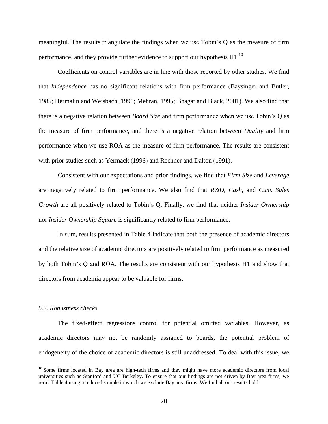meaningful. The results triangulate the findings when we use Tobin's Q as the measure of firm performance, and they provide further evidence to support our hypothesis  $H1$ .<sup>10</sup>

Coefficients on control variables are in line with those reported by other studies. We find that *Independence* has no significant relations with firm performance (Baysinger and Butler, 1985; Hermalin and Weisbach, 1991; Mehran, 1995; Bhagat and Black, 2001). We also find that there is a negative relation between *Board Size* and firm performance when we use Tobin's Q as the measure of firm performance, and there is a negative relation between *Duality* and firm performance when we use ROA as the measure of firm performance. The results are consistent with prior studies such as Yermack (1996) and Rechner and Dalton (1991).

Consistent with our expectations and prior findings, we find that *Firm Size* and *Leverage* are negatively related to firm performance. We also find that *R&D*, *Cash*, and *Cum. Sales Growth* are all positively related to Tobin's Q. Finally, we find that neither *Insider Ownership* nor *Insider Ownership Square* is significantly related to firm performance.

In sum, results presented in Table 4 indicate that both the presence of academic directors and the relative size of academic directors are positively related to firm performance as measured by both Tobin's Q and ROA. The results are consistent with our hypothesis H1 and show that directors from academia appear to be valuable for firms.

## *5.2. Robustness checks*

 $\overline{a}$ 

The fixed-effect regressions control for potential omitted variables. However, as academic directors may not be randomly assigned to boards, the potential problem of endogeneity of the choice of academic directors is still unaddressed. To deal with this issue, we

 $10$  Some firms located in Bay area are high-tech firms and they might have more academic directors from local universities such as Stanford and UC Berkeley. To ensure that our findings are not driven by Bay area firms, we rerun Table 4 using a reduced sample in which we exclude Bay area firms. We find all our results hold.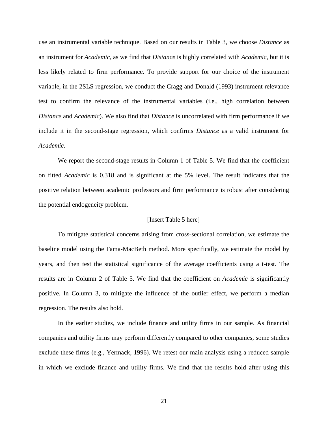use an instrumental variable technique. Based on our results in Table 3, we choose *Distance* as an instrument for *Academic*, as we find that *Distance* is highly correlated with *Academic,* but it is less likely related to firm performance. To provide support for our choice of the instrument variable, in the 2SLS regression, we conduct the Cragg and Donald (1993) instrument relevance test to confirm the relevance of the instrumental variables (i.e., high correlation between *Distance* and *Academic*). We also find that *Distance* is uncorrelated with firm performance if we include it in the second-stage regression, which confirms *Distance* as a valid instrument for *Academic.*

We report the second-stage results in Column 1 of Table 5. We find that the coefficient on fitted *Academic* is 0.318 and is significant at the 5% level. The result indicates that the positive relation between academic professors and firm performance is robust after considering the potential endogeneity problem.

## [Insert Table 5 here]

To mitigate statistical concerns arising from cross-sectional correlation, we estimate the baseline model using the Fama-MacBeth method. More specifically, we estimate the model by years, and then test the statistical significance of the average coefficients using a t-test. The results are in Column 2 of Table 5. We find that the coefficient on *Academic* is significantly positive. In Column 3, to mitigate the influence of the outlier effect, we perform a median regression. The results also hold.

In the earlier studies, we include finance and utility firms in our sample. As financial companies and utility firms may perform differently compared to other companies, some studies exclude these firms (e.g., Yermack, 1996). We retest our main analysis using a reduced sample in which we exclude finance and utility firms. We find that the results hold after using this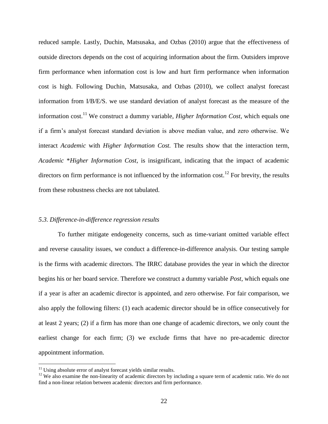reduced sample. Lastly, Duchin, Matsusaka, and Ozbas (2010) argue that the effectiveness of outside directors depends on the cost of acquiring information about the firm. Outsiders improve firm performance when information cost is low and hurt firm performance when information cost is high. Following Duchin, Matsusaka, and Ozbas (2010), we collect analyst forecast information from I/B/E/S. we use standard deviation of analyst forecast as the measure of the information cost. <sup>11</sup> We construct a dummy variable, *Higher Information Cost*, which equals one if a firm's analyst forecast standard deviation is above median value, and zero otherwise. We interact *Academic* with *Higher Information Cost.* The results show that the interaction term, *Academic* \**Higher Information Cost*, is insignificant, indicating that the impact of academic directors on firm performance is not influenced by the information cost.<sup>12</sup> For brevity, the results from these robustness checks are not tabulated.

## *5.3. Difference-in-difference regression results*

To further mitigate endogeneity concerns, such as time-variant omitted variable effect and reverse causality issues, we conduct a difference-in-difference analysis. Our testing sample is the firms with academic directors. The IRRC database provides the year in which the director begins his or her board service. Therefore we construct a dummy variable *Post*, which equals one if a year is after an academic director is appointed, and zero otherwise. For fair comparison, we also apply the following filters: (1) each academic director should be in office consecutively for at least 2 years; (2) if a firm has more than one change of academic directors, we only count the earliest change for each firm; (3) we exclude firms that have no pre-academic director appointment information.

 $11$  Using absolute error of analyst forecast yields similar results.

 $12$  We also examine the non-linearity of academic directors by including a square term of academic ratio. We do not find a non-linear relation between academic directors and firm performance.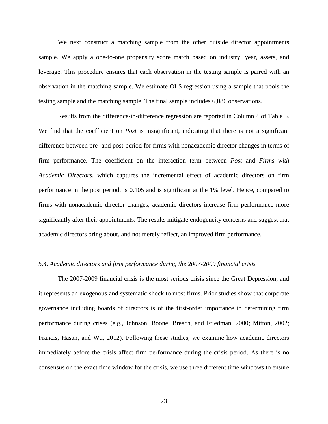We next construct a matching sample from the other outside director appointments sample. We apply a one-to-one propensity score match based on industry, year, assets, and leverage. This procedure ensures that each observation in the testing sample is paired with an observation in the matching sample. We estimate OLS regression using a sample that pools the testing sample and the matching sample. The final sample includes 6,086 observations.

Results from the difference-in-difference regression are reported in Column 4 of Table 5. We find that the coefficient on *Post* is insignificant, indicating that there is not a significant difference between pre- and post-period for firms with nonacademic director changes in terms of firm performance. The coefficient on the interaction term between *Post* and *Firms with Academic Directors*, which captures the incremental effect of academic directors on firm performance in the post period, is 0.105 and is significant at the 1% level. Hence, compared to firms with nonacademic director changes, academic directors increase firm performance more significantly after their appointments. The results mitigate endogeneity concerns and suggest that academic directors bring about, and not merely reflect, an improved firm performance.

## *5.4. Academic directors and firm performance during the 2007-2009 financial crisis*

The 2007-2009 financial crisis is the most serious crisis since the Great Depression, and it represents an exogenous and systematic shock to most firms. Prior studies show that corporate governance including boards of directors is of the first-order importance in determining firm performance during crises (e.g., Johnson, Boone, Breach, and Friedman, 2000; Mitton, 2002; Francis, Hasan, and Wu, 2012). Following these studies, we examine how academic directors immediately before the crisis affect firm performance during the crisis period. As there is no consensus on the exact time window for the crisis, we use three different time windows to ensure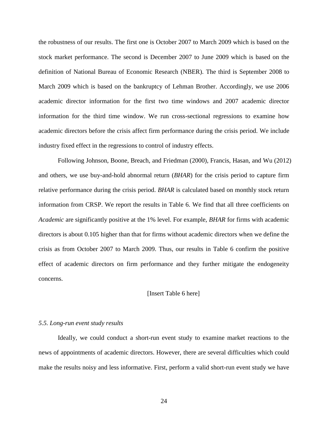the robustness of our results. The first one is October 2007 to March 2009 which is based on the stock market performance. The second is December 2007 to June 2009 which is based on the definition of National Bureau of Economic Research (NBER). The third is September 2008 to March 2009 which is based on the bankruptcy of Lehman Brother. Accordingly, we use 2006 academic director information for the first two time windows and 2007 academic director information for the third time window. We run cross-sectional regressions to examine how academic directors before the crisis affect firm performance during the crisis period. We include industry fixed effect in the regressions to control of industry effects.

Following Johnson, Boone, Breach, and Friedman (2000), Francis, Hasan, and Wu (2012) and others, we use buy-and-hold abnormal return (*BHAR*) for the crisis period to capture firm relative performance during the crisis period. *BHAR* is calculated based on monthly stock return information from CRSP. We report the results in Table 6. We find that all three coefficients on *Academic* are significantly positive at the 1% level. For example, *BHAR* for firms with academic directors is about 0.105 higher than that for firms without academic directors when we define the crisis as from October 2007 to March 2009. Thus, our results in Table 6 confirm the positive effect of academic directors on firm performance and they further mitigate the endogeneity concerns.

#### [Insert Table 6 here]

#### *5.5. Long-run event study results*

Ideally, we could conduct a short-run event study to examine market reactions to the news of appointments of academic directors. However, there are several difficulties which could make the results noisy and less informative. First, perform a valid short-run event study we have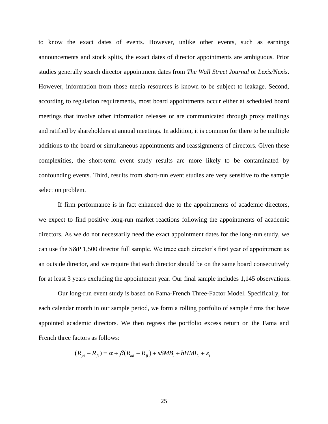to know the exact dates of events. However, unlike other events, such as earnings announcements and stock splits, the exact dates of director appointments are ambiguous. Prior studies generally search director appointment dates from *The Wall Street Journal* or *Lexis/Nexis*. However, information from those media resources is known to be subject to leakage. Second, according to regulation requirements, most board appointments occur either at scheduled board meetings that involve other information releases or are communicated through proxy mailings and ratified by shareholders at annual meetings. In addition, it is common for there to be multiple additions to the board or simultaneous appointments and reassignments of directors. Given these complexities, the short-term event study results are more likely to be contaminated by confounding events. Third, results from short-run event studies are very sensitive to the sample selection problem.

If firm performance is in fact enhanced due to the appointments of academic directors, we expect to find positive long-run market reactions following the appointments of academic directors. As we do not necessarily need the exact appointment dates for the long-run study, we can use the S&P 1,500 director full sample. We trace each director's first year of appointment as an outside director, and we require that each director should be on the same board consecutively for at least 3 years excluding the appointment year. Our final sample includes 1,145 observations.

Our long-run event study is based on Fama-French Three-Factor Model. Specifically, for each calendar month in our sample period, we form a rolling portfolio of sample firms that have appointed academic directors. We then regress the portfolio excess return on the Fama and French three factors as follows:

$$
(R_{pt} - R_{ft}) = \alpha + \beta (R_{mt} - R_{ft}) + sSMB_t + hHML_t + \varepsilon_t
$$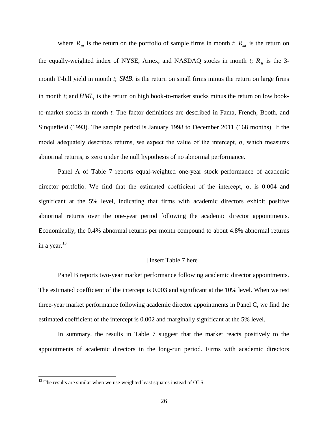where  $R_{pt}$  is the return on the portfolio of sample firms in month *t*;  $R_{mt}$  is the return on the equally-weighted index of NYSE, Amex, and NASDAQ stocks in month *t*;  $R<sub>ft</sub>$  is the 3month T-bill yield in month  $t$ ;  $SMB$ <sub>t</sub> is the return on small firms minus the return on large firms in month *t*; and  $HML$ <sup>*t*</sup> is the return on high book-to-market stocks minus the return on low bookto-market stocks in month *t*. The factor definitions are described in Fama, French, Booth, and Sinquefield (1993). The sample period is January 1998 to December 2011 (168 months). If the model adequately describes returns, we expect the value of the intercept,  $\alpha$ , which measures abnormal returns, is zero under the null hypothesis of no abnormal performance.

Panel A of Table 7 reports equal-weighted one-year stock performance of academic director portfolio. We find that the estimated coefficient of the intercept,  $\alpha$ , is 0.004 and significant at the 5% level, indicating that firms with academic directors exhibit positive abnormal returns over the one-year period following the academic director appointments. Economically, the 0.4% abnormal returns per month compound to about 4.8% abnormal returns in a year. $13$ 

## [Insert Table 7 here]

Panel B reports two-year market performance following academic director appointments. The estimated coefficient of the intercept is 0.003 and significant at the 10% level. When we test three-year market performance following academic director appointments in Panel C, we find the estimated coefficient of the intercept is 0.002 and marginally significant at the 5% level.

In summary, the results in Table 7 suggest that the market reacts positively to the appointments of academic directors in the long-run period. Firms with academic directors

 $13$  The results are similar when we use weighted least squares instead of OLS.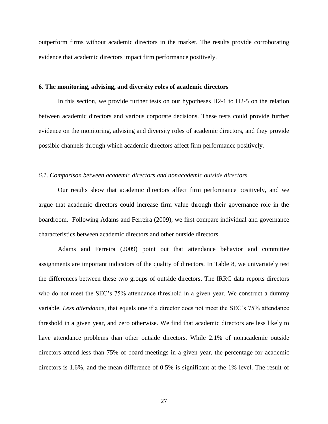outperform firms without academic directors in the market. The results provide corroborating evidence that academic directors impact firm performance positively.

## **6. The monitoring, advising, and diversity roles of academic directors**

In this section, we provide further tests on our hypotheses H2-1 to H2-5 on the relation between academic directors and various corporate decisions. These tests could provide further evidence on the monitoring, advising and diversity roles of academic directors, and they provide possible channels through which academic directors affect firm performance positively.

## *6.1. Comparison between academic directors and nonacademic outside directors*

Our results show that academic directors affect firm performance positively, and we argue that academic directors could increase firm value through their governance role in the boardroom. Following Adams and Ferreira (2009), we first compare individual and governance characteristics between academic directors and other outside directors.

Adams and Ferreira (2009) point out that attendance behavior and committee assignments are important indicators of the quality of directors. In Table 8, we univariately test the differences between these two groups of outside directors. The IRRC data reports directors who do not meet the SEC's 75% attendance threshold in a given year. We construct a dummy variable, *Less attendance*, that equals one if a director does not meet the SEC's 75% attendance threshold in a given year, and zero otherwise. We find that academic directors are less likely to have attendance problems than other outside directors. While 2.1% of nonacademic outside directors attend less than 75% of board meetings in a given year, the percentage for academic directors is 1.6%, and the mean difference of 0.5% is significant at the 1% level. The result of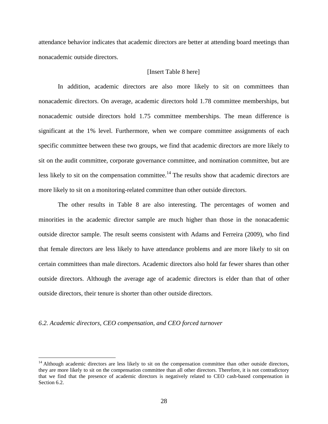attendance behavior indicates that academic directors are better at attending board meetings than nonacademic outside directors.

## [Insert Table 8 here]

In addition, academic directors are also more likely to sit on committees than nonacademic directors. On average, academic directors hold 1.78 committee memberships, but nonacademic outside directors hold 1.75 committee memberships. The mean difference is significant at the 1% level. Furthermore, when we compare committee assignments of each specific committee between these two groups, we find that academic directors are more likely to sit on the audit committee, corporate governance committee, and nomination committee, but are less likely to sit on the compensation committee.<sup>14</sup> The results show that academic directors are more likely to sit on a monitoring-related committee than other outside directors.

The other results in Table 8 are also interesting. The percentages of women and minorities in the academic director sample are much higher than those in the nonacademic outside director sample. The result seems consistent with Adams and Ferreira (2009), who find that female directors are less likely to have attendance problems and are more likely to sit on certain committees than male directors. Academic directors also hold far fewer shares than other outside directors. Although the average age of academic directors is elder than that of other outside directors, their tenure is shorter than other outside directors.

#### *6.2. Academic directors, CEO compensation, and CEO forced turnover*

 $14$  Although academic directors are less likely to sit on the compensation committee than other outside directors, they are more likely to sit on the compensation committee than all other directors. Therefore, it is not contradictory that we find that the presence of academic directors is negatively related to CEO cash-based compensation in Section 6.2.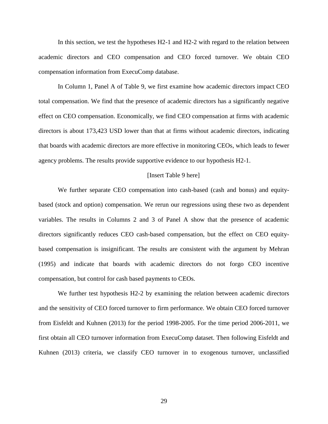In this section, we test the hypotheses H2-1 and H2-2 with regard to the relation between academic directors and CEO compensation and CEO forced turnover. We obtain CEO compensation information from ExecuComp database.

In Column 1, Panel A of Table 9, we first examine how academic directors impact CEO total compensation. We find that the presence of academic directors has a significantly negative effect on CEO compensation. Economically, we find CEO compensation at firms with academic directors is about 173,423 USD lower than that at firms without academic directors, indicating that boards with academic directors are more effective in monitoring CEOs, which leads to fewer agency problems. The results provide supportive evidence to our hypothesis H2-1.

#### [Insert Table 9 here]

We further separate CEO compensation into cash-based (cash and bonus) and equitybased (stock and option) compensation. We rerun our regressions using these two as dependent variables. The results in Columns 2 and 3 of Panel A show that the presence of academic directors significantly reduces CEO cash-based compensation, but the effect on CEO equitybased compensation is insignificant. The results are consistent with the argument by Mehran (1995) and indicate that boards with academic directors do not forgo CEO incentive compensation, but control for cash based payments to CEOs.

We further test hypothesis H2-2 by examining the relation between academic directors and the sensitivity of CEO forced turnover to firm performance. We obtain CEO forced turnover from Eisfeldt and Kuhnen (2013) for the period 1998-2005. For the time period 2006-2011, we first obtain all CEO turnover information from ExecuComp dataset. Then following Eisfeldt and Kuhnen (2013) criteria, we classify CEO turnover in to exogenous turnover, unclassified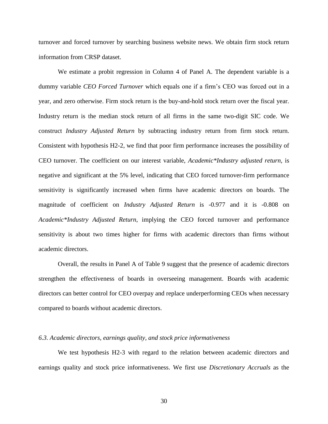turnover and forced turnover by searching business website news. We obtain firm stock return information from CRSP dataset.

We estimate a probit regression in Column 4 of Panel A. The dependent variable is a dummy variable *CEO Forced Turnover* which equals one if a firm's CEO was forced out in a year, and zero otherwise. Firm stock return is the buy-and-hold stock return over the fiscal year. Industry return is the median stock return of all firms in the same two-digit SIC code. We construct *Industry Adjusted Return* by subtracting industry return from firm stock return. Consistent with hypothesis H2-2, we find that poor firm performance increases the possibility of CEO turnover. The coefficient on our interest variable, *Academic\*Industry adjusted return,* is negative and significant at the 5% level, indicating that CEO forced turnover-firm performance sensitivity is significantly increased when firms have academic directors on boards. The magnitude of coefficient on *Industry Adjusted Return* is -0.977 and it is -0.808 on *Academic\*Industry Adjusted Return*, implying the CEO forced turnover and performance sensitivity is about two times higher for firms with academic directors than firms without academic directors.

Overall, the results in Panel A of Table 9 suggest that the presence of academic directors strengthen the effectiveness of boards in overseeing management. Boards with academic directors can better control for CEO overpay and replace underperforming CEOs when necessary compared to boards without academic directors.

#### *6.3. Academic directors, earnings quality, and stock price informativeness*

We test hypothesis H2-3 with regard to the relation between academic directors and earnings quality and stock price informativeness. We first use *Discretionary Accruals* as the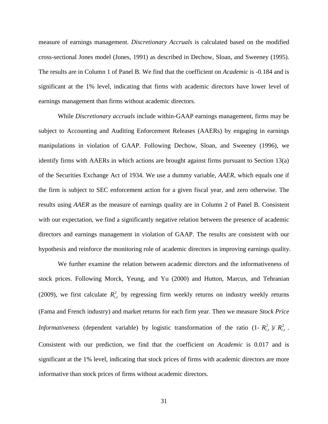measure of earnings management. *Discretionary Accruals* is calculated based on the modified cross-sectional Jones model (Jones, 1991) as described in Dechow, Sloan, and Sweeney (1995). The results are in Column 1 of Panel B. We find that the coefficient on *Academic* is -0.184 and is significant at the 1% level, indicating that firms with academic directors have lower level of earnings management than firms without academic directors.

While *Discretionary accruals* include within-GAAP earnings management, firms may be subject to Accounting and Auditing Enforcement Releases (AAERs) by engaging in earnings manipulations in violation of GAAP. Following Dechow, Sloan, and Sweeney (1996), we identify firms with AAERs in which actions are brought against firms pursuant to Section 13(a) of the Securities Exchange Act of 1934. We use a dummy variable, *AAER*, which equals one if the firm is subject to SEC enforcement action for a given fiscal year, and zero otherwise. The results using *AAER* as the measure of earnings quality are in Column 2 of Panel B. Consistent with our expectation, we find a significantly negative relation between the presence of academic directors and earnings management in violation of GAAP. The results are consistent with our hypothesis and reinforce the monitoring role of academic directors in improving earnings quality.

We further examine the relation between academic directors and the informativeness of stock prices. Following Morck, Yeung, and Yu (2000) and Hutton, Marcus, and Tehranian (2009), we first calculate  $R_{i,t}^2$  by regressing firm weekly returns on industry weekly returns (Fama and French industry) and market returns for each firm year. Then we measure *Stock Price Informativeness* (dependent variable) by logistic transformation of the ratio  $(1 - R_{i,t}^2) / R_{i,t}^2$ . Consistent with our prediction, we find that the coefficient on *Academic* is 0.017 and is significant at the 1% level, indicating that stock prices of firms with academic directors are more informative than stock prices of firms without academic directors.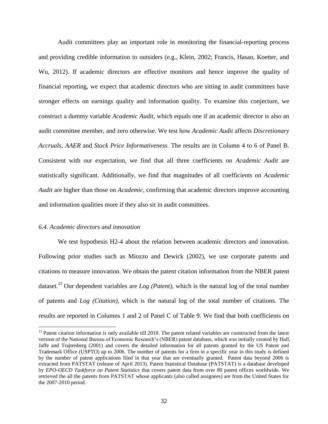Audit committees play an important role in monitoring the financial-reporting process and providing credible information to outsiders (e.g., Klein, 2002; Francis, Hasan, Koetter, and Wu, 2012). If academic directors are effective monitors and hence improve the quality of financial reporting, we expect that academic directors who are sitting in audit committees have stronger effects on earnings quality and information quality. To examine this conjecture, we construct a dummy variable *Academic Audit*, which equals one if an academic director is also an audit committee member, and zero otherwise. We test how *Academic Audit* affects *Discretionary Accruals*, *AAER* and *Stock Price Informativeness.* The results are in Column 4 to 6 of Panel B. Consistent with our expectation, we find that all three coefficients on *Academic Audit* are statistically significant. Additionally, we find that magnitudes of all coefficients on *Academic Audit* are higher than those on *Academic,* confirming that academic directors improve accounting and information qualities more if they also sit in audit committees.

## *6.4. Academic directors and innovation*

 $\overline{a}$ 

We test hypothesis H2-4 about the relation between academic directors and innovation. Following prior studies such as Miozzo and Dewick (2002), we use corporate patents and citations to measure innovation. We obtain the patent citation information from the NBER patent dataset.<sup>15</sup> Our dependent variables are *Log (Patent)*, which is the natural log of the total number of patents and *Log (Citation)*, which is the natural log of the total number of citations. The results are reported in Columns 1 and 2 of Panel C of Table 9. We find that both coefficients on

<sup>&</sup>lt;sup>15</sup> Patent citation information is only available till 2010. The patent related variables are constructed from the latest version of the National Bureau of Economic Research's (NBER) patent database, which was initially created by Hall, Jaffe and Trajtenberg (2001) and covers the detailed information for all patents granted by the US Patent and Trademark Office (USPTO) up to 2006. The number of patents for a firm in a specific year in this study is defined by the number of patent applications filed in that year that are eventually granted. Patent data beyond 2006 is extracted from PATSTAT (release of April 2013). Patent Statistical Database (PATSTAT) is a database developed by *EPO-OECD Taskforce on Patent Statistics* that covers patent data from over 80 patent offices worldwide. We retrieved the all the patents from PATSTAT whose applicants (also called assignees) are from the United States for the 2007-2010 period.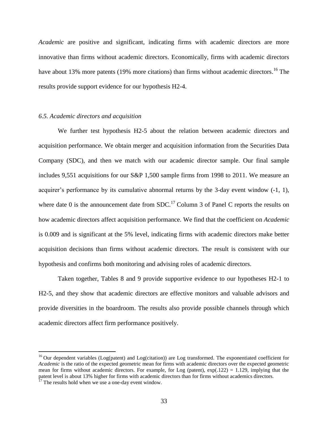*Academic* are positive and significant, indicating firms with academic directors are more innovative than firms without academic directors. Economically, firms with academic directors have about 13% more patents (19% more citations) than firms without academic directors.<sup>16</sup> The results provide support evidence for our hypothesis H2-4.

## *6.5. Academic directors and acquisition*

We further test hypothesis H2-5 about the relation between academic directors and acquisition performance. We obtain merger and acquisition information from the Securities Data Company (SDC), and then we match with our academic director sample. Our final sample includes 9,551 acquisitions for our S&P 1,500 sample firms from 1998 to 2011. We measure an acquirer's performance by its cumulative abnormal returns by the 3-day event window (-1, 1), where date 0 is the announcement date from  $SDC<sup>17</sup>$  Column 3 of Panel C reports the results on how academic directors affect acquisition performance. We find that the coefficient on *Academic* is 0.009 and is significant at the 5% level, indicating firms with academic directors make better acquisition decisions than firms without academic directors. The result is consistent with our hypothesis and confirms both monitoring and advising roles of academic directors.

Taken together, Tables 8 and 9 provide supportive evidence to our hypotheses H2-1 to H2-5, and they show that academic directors are effective monitors and valuable advisors and provide diversities in the boardroom. The results also provide possible channels through which academic directors affect firm performance positively.

<sup>&</sup>lt;sup>16</sup> Our dependent variables (Log(patent) and Log(citation)) are Log transformed. The exponentiated coefficient for *Academic* is the ratio of the expected geometric mean for firms with academic directors over the expected geometric mean for firms without academic directors. For example, for Log (patent),  $exp(.122) = 1.129$ , implying that the patent level is about 13% higher for firms with academic directors than for firms without academics directors.

 $17$  The results hold when we use a one-day event window.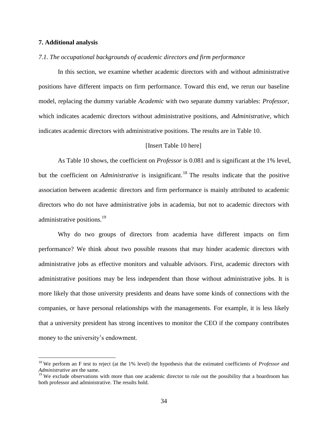## **7. Additional analysis**

 $\overline{a}$ 

## *7.1. The occupational backgrounds of academic directors and firm performance*

In this section, we examine whether academic directors with and without administrative positions have different impacts on firm performance. Toward this end, we rerun our baseline model, replacing the dummy variable *Academic* with two separate dummy variables: *Professor*, which indicates academic directors without administrative positions, and *Administrative*, which indicates academic directors with administrative positions. The results are in Table 10.

## [Insert Table 10 here]

As Table 10 shows, the coefficient on *Professor* is 0.081 and is significant at the 1% level, but the coefficient on *Administrative* is insignificant. <sup>18</sup> The results indicate that the positive association between academic directors and firm performance is mainly attributed to academic directors who do not have administrative jobs in academia, but not to academic directors with administrative positions.<sup>19</sup>

Why do two groups of directors from academia have different impacts on firm performance? We think about two possible reasons that may hinder academic directors with administrative jobs as effective monitors and valuable advisors. First, academic directors with administrative positions may be less independent than those without administrative jobs. It is more likely that those university presidents and deans have some kinds of connections with the companies, or have personal relationships with the managements. For example, it is less likely that a university president has strong incentives to monitor the CEO if the company contributes money to the university's endowment.

<sup>18</sup> We perform an F test to reject (at the 1% level) the hypothesis that the estimated coefficients of *Professor* and *Administrative* are the same.

 $19$  We exclude observations with more than one academic director to rule out the possibility that a boardroom has both professor and administrative. The results hold.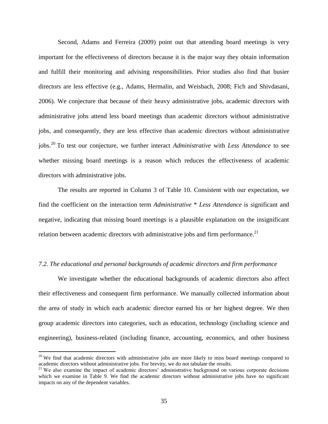Second, Adams and Ferreira (2009) point out that attending board meetings is very important for the effectiveness of directors because it is the major way they obtain information and fulfill their monitoring and advising responsibilities. Prior studies also find that busier directors are less effective (e.g., Adams, Hermalin, and Weisbach, 2008; Fich and Shivdasani, 2006). We conjecture that because of their heavy administrative jobs, academic directors with administrative jobs attend less board meetings than academic directors without administrative jobs, and consequently, they are less effective than academic directors without administrative jobs. <sup>20</sup> To test our conjecture, we further interact *Administrative* with *Less Attendance* to see whether missing board meetings is a reason which reduces the effectiveness of academic directors with administrative jobs.

The results are reported in Column 3 of Table 10. Consistent with our expectation, we find the coefficient on the interaction term *Administrative* \* *Less Attendance* is significant and negative, indicating that missing board meetings is a plausible explanation on the insignificant relation between academic directors with administrative jobs and firm performance.<sup>21</sup>

## *7.2. The educational and personal backgrounds of academic directors and firm performance*

We investigate whether the educational backgrounds of academic directors also affect their effectiveness and consequent firm performance. We manually collected information about the area of study in which each academic director earned his or her highest degree. We then group academic directors into categories, such as education, technology (including science and engineering), business-related (including finance, accounting, economics, and other business

<sup>&</sup>lt;sup>20</sup> We find that academic directors with administrative jobs are more likely to miss board meetings compared to academic directors without administrative jobs. For brevity, we do not tabulate the results.

<sup>&</sup>lt;sup>21</sup> We also examine the impact of academic directors' administrative background on various corporate decisions which we examine in Table 9. We find the academic directors without administrative jobs have no significant impacts on any of the dependent variables.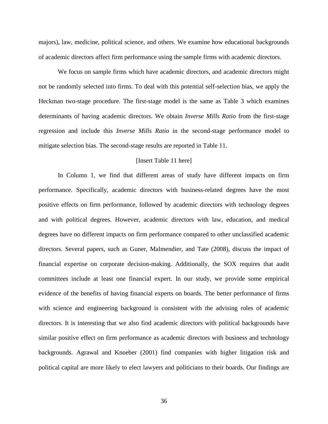majors), law, medicine, political science, and others. We examine how educational backgrounds of academic directors affect firm performance using the sample firms with academic directors.

We focus on sample firms which have academic directors, and academic directors might not be randomly selected into firms. To deal with this potential self-selection bias, we apply the Heckman two-stage procedure. The first-stage model is the same as Table 3 which examines determinants of having academic directors. We obtain *Inverse Mills Ratio* from the first-stage regression and include this *Inverse Mills Ratio* in the second-stage performance model to mitigate selection bias. The second-stage results are reported in Table 11.

## [Insert Table 11 here]

In Column 1, we find that different areas of study have different impacts on firm performance. Specifically, academic directors with business-related degrees have the most positive effects on firm performance, followed by academic directors with technology degrees and with political degrees. However, academic directors with law, education, and medical degrees have no different impacts on firm performance compared to other unclassified academic directors. Several papers, such as Guner, Malmendier, and Tate (2008), discuss the impact of financial expertise on corporate decision-making. Additionally, the SOX requires that audit committees include at least one financial expert. In our study, we provide some empirical evidence of the benefits of having financial experts on boards. The better performance of firms with science and engineering background is consistent with the advising roles of academic directors. It is interesting that we also find academic directors with political backgrounds have similar positive effect on firm performance as academic directors with business and technology backgrounds. Agrawal and Knoeber (2001) find companies with higher litigation risk and political capital are more likely to elect lawyers and politicians to their boards. Our findings are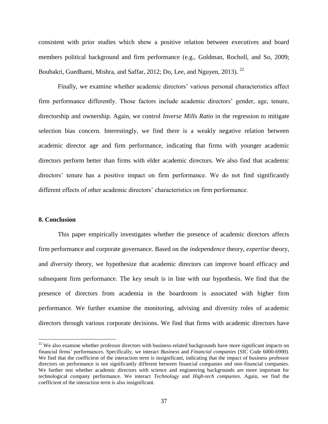consistent with prior studies which show a positive relation between executives and board members political background and firm performance (e.g., Goldman, Rocholl, and So, 2009; Boubakri, Guedhami, Mishra, and Saffar, 2012; Do, Lee, and Nguyen, 2013). <sup>22</sup>

Finally, we examine whether academic directors' various personal characteristics affect firm performance differently. Those factors include academic directors' gender, age, tenure, directorship and ownership. Again, we control *Inverse Mills Ratio* in the regression to mitigate selection bias concern. Interestingly, we find there is a weakly negative relation between academic director age and firm performance, indicating that firms with younger academic directors perform better than firms with elder academic directors. We also find that academic directors' tenure has a positive impact on firm performance. We do not find significantly different effects of other academic directors' characteristics on firm performance.

## **8. Conclusion**

 $\overline{a}$ 

This paper empirically investigates whether the presence of academic directors affects firm performance and corporate governance. Based on the *independence* theory, *expertise* theory, and *diversity* theory, we hypothesize that academic directors can improve board efficacy and subsequent firm performance. The key result is in line with our hypothesis. We find that the presence of directors from academia in the boardroom is associated with higher firm performance. We further examine the monitoring, advising and diversity roles of academic directors through various corporate decisions. We find that firms with academic directors have

 $^{22}$  We also examine whether professor directors with business-related backgrounds have more significant impacts on financial firms' performances. Specifically, we interact *Business* and *Financial companies* (SIC Code 6000-6900). We find that the coefficient of the interaction term is insignificant, indicating that the impact of business professor directors on performance is not significantly different between financial companies and non-financial companies. We further test whether academic directors with science and engineering backgrounds are more important for technological company performance. We interact *Technology* and *High-tech companies*. Again, we find the coefficient of the interaction term is also insignificant.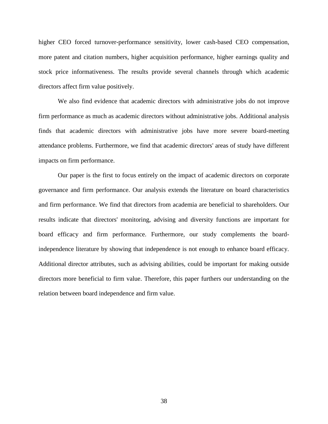higher CEO forced turnover-performance sensitivity, lower cash-based CEO compensation, more patent and citation numbers, higher acquisition performance, higher earnings quality and stock price informativeness. The results provide several channels through which academic directors affect firm value positively.

We also find evidence that academic directors with administrative jobs do not improve firm performance as much as academic directors without administrative jobs. Additional analysis finds that academic directors with administrative jobs have more severe board-meeting attendance problems. Furthermore, we find that academic directors' areas of study have different impacts on firm performance.

Our paper is the first to focus entirely on the impact of academic directors on corporate governance and firm performance. Our analysis extends the literature on board characteristics and firm performance. We find that directors from academia are beneficial to shareholders. Our results indicate that directors' monitoring, advising and diversity functions are important for board efficacy and firm performance. Furthermore, our study complements the boardindependence literature by showing that independence is not enough to enhance board efficacy. Additional director attributes, such as advising abilities, could be important for making outside directors more beneficial to firm value. Therefore, this paper furthers our understanding on the relation between board independence and firm value.

38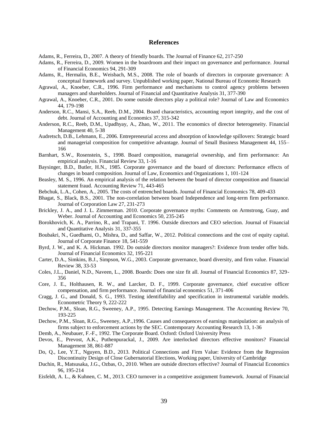#### **References**

Adams, R., Ferreira, D., 2007. A theory of friendly boards. The Journal of Finance 62, 217-250

Adams, R., Ferreira, D., 2009. Women in the boardroom and their impact on governance and performance. Journal of Financial Economics 94, 291-309

- Adams, R., Hermalin, B.E., Weisbach, M.S., 2008. The role of boards of directors in corporate governance: A conceptual framework and survey. Unpublished working paper, National Bureau of Economic Research
- Agrawal, A., Knoeber, C.R., 1996. Firm performance and mechanisms to control agency problems between managers and shareholders. Journal of Financial and Quantitative Analysis 31, 377-390
- Agrawal, A., Knoeber, C.R., 2001. Do some outside directors play a political role? Journal of Law and Economics 44, 179-198
- Anderson, R.C., Mansi, S.A., Reeb, D.M., 2004. Board characteristics, accounting report integrity, and the cost of debt. Journal of Accounting and Economics 37, 315-342
- Anderson, R.C., Reeb, D.M., Upadhyay, A., Zhao, W., 2011. The economics of director heterogeneity. Financial Management 40, 5-38
- Audretsch, D.B., Lehmann, E., 2006. Entrepreneurial access and absorption of knowledge spillovers: Strategic board and managerial composition for competitive advantage. Journal of Small Business Management 44, 155– 166
- Barnhart, S.W., Rosenstein, S., 1998. Board composition, managerial ownership, and firm performance: An empirical analysis. Financial Review 33, 1-16
- Baysinger, B.D., Butler, H.N., 1985. Corporate governance and the board of directors: Performance effects of changes in board composition. Journal of Law, Economics and Organizations 1, 101-124
- Beasley, M. S., 1996. An empirical analysis of the relation between the board of director composition and financial statement fraud. Accounting Review 71, 443-465
- Bebchuk, L.A., Cohen, A., 2005. The costs of entrenched boards. Journal of Financial Economics 78, 409-433
- Bhagat, S., Black, B.S., 2001. The non-correlation between board Independence and long-term firm performance. Journal of Corporation Law 27, 231-273
- Brickley, J. A., and J. L. Zimmerman. 2010. Corporate governance myths: Comments on Armstrong, Guay, and Weber. Journal of Accounting and Economics 50, 235-245
- Borokhovich, K. A., Parrino, R., and Trapani, T. 1996. Outside directors and CEO selection. Journal of Financial and Quantitative Analysis 31, 337-355
- Boubakri, N., Guedhami, O., Mishra, D., and Saffar, W., 2012. Political connections and the cost of equity capital. Journal of Corporate Finance 18, 541-559
- Byrd, J. W., and K. A. Hickman. 1992. Do outside directors monitor managers?: Evidence from tender offer bids. Journal of Financial Economics 32, 195-221
- Carter, D.A., Simkins, B.J., Simpson, W.G., 2003. Corporate governance, board diversity, and firm value. Financial Review 38, 33-53
- Coles, J.L., Daniel, N.D., Naveen, L., 2008. Boards: Does one size fit all. Journal of Financial Economics 87, 329- 356
- Core, J. E., Holthausen, R. W., and Larcker, D. F., 1999. Corporate governance, chief executive officer compensation, and firm performance. Journal of financial economics 51, 371-406
- Cragg, J. G., and Donald, S. G., 1993. Testing identifiability and specification in instrumental variable models. Econometric Theory 9, 222-222
- Dechow, P.M., Sloan, R.G., Sweeney, A.P., 1995. Detecting Earnings Management. The Accounting Review 70, 193-225
- Dechow, P.M., Sloan, R.G., Sweeney, A.P.,1996. Causes and consequences of earnings manipulation: an analysis of firms subject to enforcement actions by the SEC. Contemporary Accounting Research 13, 1-36
- Demb, A., Neubauer, F.-F., 1992. The Corporate Board. Oxford: Oxford University Press
- Devos, E., Prevost, A.K., Puthenpurackal, J., 2009. Are interlocked directors effective monitors? Financial Management 38, 861-887
- Do, Q., Lee, Y.T., Nguyen, B.D., 2013. Political Connections and Firm Value: Evidence from the Regression Discontinuity Design of Close Gubernatorial Elections, Working paper, University of Cambridge
- Duchin, R., Matsusaka, J.G., Ozbas, O., 2010. When are outside directors effective? Journal of Financial Economics 96, 195-214
- Eisfeldt, A. L., & Kuhnen, C. M., 2013. CEO turnover in a competitive assignment framework. Journal of Financial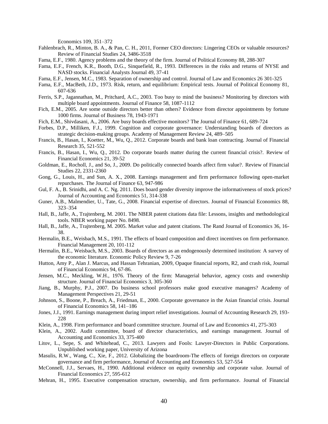Economics 109, 351–372

- Fahlenbrach, R., Minton, B. A., & Pan, C. H., 2011, Former CEO directors: Lingering CEOs or valuable resources? Review of Financial Studies 24, 3486-3518
- Fama, E.F., 1980. Agency problems and the theory of the firm. Journal of Political Economy 88, 288-307
- Fama, E.F., French, K.R., Booth, D.G., Sinquefield, R., 1993. Differences in the risks and returns of NYSE and NASD stocks. Financial Analysts Journal 49, 37-41
- Fama, E.F., Jensen, M.C., 1983. Separation of ownership and control. Journal of Law and Economics 26 301-325
- Fama, E.F., MacBeth, J.D., 1973. Risk, return, and equilibrium: Empirical tests. Journal of Political Economy 81, 607-636
- Ferris, S.P., Jagannathan, M., Pritchard, A.C., 2003. Too busy to mind the business? Monitoring by directors with multiple board appointments. Journal of Finance 58, 1087-1112
- Fich, E.M., 2005. Are some outside directors better than others? Evidence from director appointments by fortune 1000 firms. Journal of Business 78, 1943-1971
- Fich, E.M., Shivdasani, A., 2006. Are busy boards effective monitors? The Journal of Finance 61, 689-724
- Forbes, D.P., Milliken, F.J., 1999. Cognition and corporate governance: Understanding boards of directors as strategic decision-making groups. Academy of Management Review 24, 489–505
- Francis, B., Hasan, I., Koetter, M., Wu, Q., 2012. Corporate boards and bank loan contracting. Journal of Financial Research 35, 521-552
- Francis, B., Hasan, I., Wu, Q., 2012. Do corporate boards matter during the current financial crisis?. Review of Financial Economics 21, 39-52
- Goldman, E., Rocholl, J., and So, J., 2009. Do politically connected boards affect firm value?. Review of Financial Studies 22, 2331-2360
- Gong, G., Louis, H., and Sun, A. X., 2008. Earnings management and firm performance following open-market repurchases. The Journal of Finance 63, 947-986
- Gul, F. A., B. Srinidhi, and A. C. Ng. 2011. Does board gender diversity improve the informativeness of stock prices? Journal of Accounting and Economics 51, 314-338
- Guner, A.B., Malmendier, U., Tate, G., 2008. Financial expertise of directors. Journal of Financial Economics 88, 323–354
- Hall, B., Jaffe, A., Trajtenberg, M. 2001. The NBER patent citations data file: Lessons, insights and methodological tools. NBER working paper No. 8498.
- Hall, B., Jaffe, A., Trajtenberg, M. 2005. Market value and patent citations. The Rand Journal of Economics 36, 16- 38.
- Hermalin, B.E., Weisbach, M.S., 1991. The effects of board composition and direct incentives on firm performance. Financial Management 20, 101-112
- Hermalin, B.E., Weisbach, M.S., 2003. Boards of directors as an endogenously determined institution: A survey of the economic literature. Economic Policy Review 9, 7-26
- Hutton, Amy P., Alan J. Marcus, and Hassan Tehranian, 2009, Opaque financial reports, R2, and crash risk, Journal of Financial Economics 94, 67-86.
- Jensen, M.C., Meckling, W.H., 1976. Theory of the firm: Managerial behavior, agency costs and ownership structure. Journal of Financial Economics 3, 305-360
- Jiang, B., Murphy, P.J., 2007. Do business school professors make good executive managers? Academy of Management Perspectives 21, 29-51
- Johnson, S., Boone, P., Breach, A., Friedman, E., 2000. Corporate governance in the Asian financial crisis. Journal of Financial Economics 58, 141–186
- Jones, J.J., 1991. Earnings management during import relief investigations. Journal of Accounting Research 29, 193- 228
- Klein, A., 1998. Firm performance and board committee structure. Journal of Law and Economics 41, 275-303
- Klein, A., 2002. Audit committee, board of director characteristics, and earnings management. Journal of Accounting and Economics 33, 375-400
- Litov, L., Sepe, S. and Whitehead, C., 2013. Lawyers and Fools: Lawyer-Directors in Public Corporations. Unpublished working paper, University of Arizona
- Masulis, R.W., Wang, C., Xie, F., 2012. Globalizing the boardroom-The effects of foreign directors on corporate governance and firm performance, Journal of Accounting and Economics 53, 527-554
- McConnell, J.J., Servaes, H., 1990. Additional evidence on equity ownership and corporate value. Journal of Financial Economics 27, 595-612
- Mehran, H., 1995. Executive compensation structure, ownership, and firm performance. Journal of Financial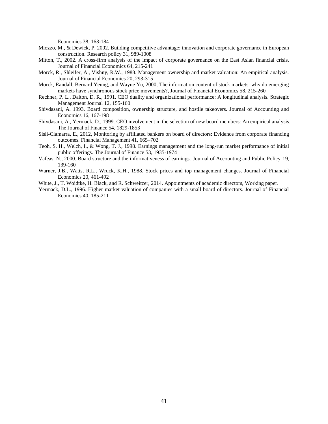Economics 38, 163-184

- Miozzo, M., & Dewick, P. 2002. Building competitive advantage: innovation and corporate governance in European construction. Research policy 31, 989-1008
- Mitton, T., 2002. A cross-firm analysis of the impact of corporate governance on the East Asian financial crisis. Journal of Financial Economics 64, 215-241
- Morck, R., Shleifer, A., Vishny, R.W., 1988. Management ownership and market valuation: An empirical analysis. Journal of Financial Economics 20, 293-315
- Morck, Randall, Bernard Yeung, and Wayne Yu, 2000, The information content of stock markets: why do emerging markets have synchronous stock price movements?, Journal of Financial Economics 58, 215-260
- Rechner, P. L., Dalton, D. R., 1991. CEO duality and organizational performance: A longitudinal analysis. Strategic Management Journal 12, 155-160
- Shivdasani, A. 1993. Board composition, ownership structure, and hostile takeovers. Journal of Accounting and Economics 16, 167-198
- Shivdasani, A., Yermack, D., 1999. CEO involvement in the selection of new board members: An empirical analysis. The Journal of Finance 54, 1829-1853
- Sisli-Ciamarra, E., 2012, Monitoring by affiliated bankers on board of directors: Evidence from corporate financing outcomes. Financial Management 41, 665–702
- Teoh, S. H., Welch, I., & Wong, T. J., 1998. Earnings management and the long-run market performance of initial public offerings. The Journal of Finance 53, 1935-1974
- Vafeas, N., 2000. Board structure and the informativeness of earnings. Journal of Accounting and Public Policy 19, 139-160
- Warner, J.B., Watts, R.L., Wruck, K.H., 1988. Stock prices and top management changes. Journal of Financial Economics 20, 461-492
- White, J., T. Woidtke, H. Black, and R. Schweitzer, 2014. Appointments of academic directors, Working paper.
- Yermack, D.L., 1996. Higher market valuation of companies with a small board of directors. Journal of Financial Economics 40, 185-211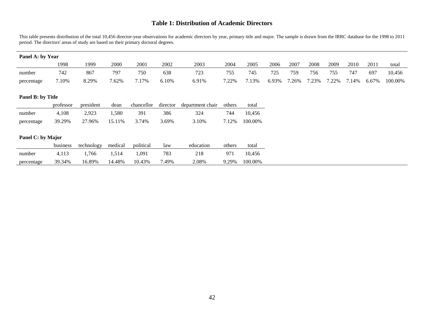# **Table 1: Distribution of Academic Directors**

This table presents distribution of the total 10,456 director-year observations for academic directors by year, primary title and major. The sample is drawn from the IRRC database for the 1998 to 2011 period. The directors' areas of study are based on their primary doctoral degrees.

| Panel A: by Year  |           |            |         |            |          |                  |        |         |       |       |       |       |       |       |         |
|-------------------|-----------|------------|---------|------------|----------|------------------|--------|---------|-------|-------|-------|-------|-------|-------|---------|
|                   | 1998      | 1999       | 2000    | 2001       | 2002     | 2003             | 2004   | 2005    | 2006  | 2007  | 2008  | 2009  | 2010  | 2011  | total   |
| number            | 742       | 867        | 797     | 750        | 638      | 723              | 755    | 745     | 725   | 759   | 756   | 755   | 747   | 697   | 10,456  |
| percentage        | 7.10%     | 8.29%      | 7.62%   | 7.17%      | 6.10%    | 6.91%            | 7.22%  | 7.13%   | 6.93% | 7.26% | 7.23% | 7.22% | 7.14% | 6.67% | 100.00% |
|                   |           |            |         |            |          |                  |        |         |       |       |       |       |       |       |         |
| Panel B: by Title |           |            |         |            |          |                  |        |         |       |       |       |       |       |       |         |
|                   | professor | president  | dean    | chancellor | director | department chair | others | total   |       |       |       |       |       |       |         |
| number            | 4,108     | 2,923      | 1,580   | 391        | 386      | 324              | 744    | 10,456  |       |       |       |       |       |       |         |
| percentage        | 39.29%    | 27.96%     | 15.11%  | 3.74%      | 3.69%    | 3.10%            | 7.12%  | 100.00% |       |       |       |       |       |       |         |
|                   |           |            |         |            |          |                  |        |         |       |       |       |       |       |       |         |
| Panel C: by Major |           |            |         |            |          |                  |        |         |       |       |       |       |       |       |         |
|                   | business  | technology | medical | political  | law      | education        | others | total   |       |       |       |       |       |       |         |
| number            | 4,113     | 1,766      | 1,514   | 1,091      | 783      | 218              | 971    | 10,456  |       |       |       |       |       |       |         |
| percentage        | 39.34%    | 16.89%     | 14.48%  | 10.43%     | 7.49%    | 2.08%            | 9.29%  | 100.00% |       |       |       |       |       |       |         |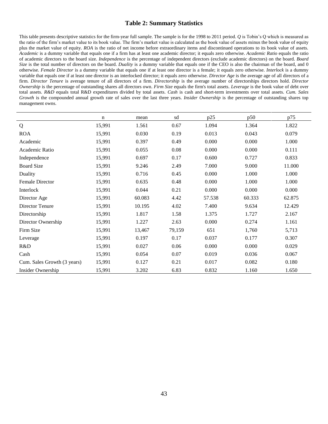# **Table 2: Summary Statistics**

This table presents descriptive statistics for the firm-year full sample. The sample is for the 1998 to 2011 period. *Q* is Tobin's Q which is measured as the ratio of the firm's market value to its book value. The firm's market value is calculated as the book value of assets minus the book value of equity plus the market value of equity. *ROA* is the ratio of net income before extraordinary items and discontinued operations to its book value of assets. *Academic* is a dummy variable that equals one if a firm has at least one academic director; it equals zero otherwise. *Academic Ratio* equals the ratio of academic directors to the board size. *Independence* is the percentage of independent directors (exclude academic directors) on the board. *Board Size* is the total number of directors on the board. *Duality* is a dummy variable that equals one if the CEO is also the chairman of the board, and 0 otherwise. *Female Director* is a dummy variable that equals one if at least one director is a female; it equals zero otherwise. *Interlock* is a dummy variable that equals one if at least one director is an interlocked director; it equals zero otherwise. *Director Age* is the average age of all directors of a firm. *Director Tenure* is average tenure of all directors of a firm. *Directorship* is the average number of directorships directors hold. *Director Ownership* is the percentage of outstanding shares all directors own. *Firm Size* equals the firm's total assets. *Leverage* is the book value of debt over total assets. *R&D* equals total R&D expenditures divided by total assets. *Cash* is cash and short-term investments over total assets. *Cum. Sales Growth* is the compounded annual growth rate of sales over the last three years. *Insider Ownership* is the percentage of outstanding shares top management owns.

|                             | n      | mean   | sd     | p25    | p50    | p75    |
|-----------------------------|--------|--------|--------|--------|--------|--------|
| Q                           | 15,991 | 1.561  | 0.67   | 1.094  | 1.364  | 1.822  |
| <b>ROA</b>                  | 15,991 | 0.030  | 0.19   | 0.013  | 0.043  | 0.079  |
| Academic                    | 15,991 | 0.397  | 0.49   | 0.000  | 0.000  | 1.000  |
| Academic Ratio              | 15,991 | 0.055  | 0.08   | 0.000  | 0.000  | 0.111  |
| Independence                | 15,991 | 0.697  | 0.17   | 0.600  | 0.727  | 0.833  |
| <b>Board Size</b>           | 15,991 | 9.246  | 2.49   | 7.000  | 9.000  | 11.000 |
| Duality                     | 15,991 | 0.716  | 0.45   | 0.000  | 1.000  | 1.000  |
| Female Director             | 15,991 | 0.635  | 0.48   | 0.000  | 1.000  | 1.000  |
| Interlock                   | 15,991 | 0.044  | 0.21   | 0.000  | 0.000  | 0.000  |
| Director Age                | 15,991 | 60.083 | 4.42   | 57.538 | 60.333 | 62.875 |
| Director Tenure             | 15,991 | 10.195 | 4.02   | 7.400  | 9.634  | 12.429 |
| Directorship                | 15,991 | 1.817  | 1.58   | 1.375  | 1.727  | 2.167  |
| Director Ownership          | 15,991 | 1.227  | 2.63   | 0.000  | 0.274  | 1.161  |
| Firm Size                   | 15,991 | 13,467 | 79,159 | 651    | 1,760  | 5,713  |
| Leverage                    | 15,991 | 0.197  | 0.17   | 0.037  | 0.177  | 0.307  |
| R&D                         | 15,991 | 0.027  | 0.06   | 0.000  | 0.000  | 0.029  |
| Cash                        | 15,991 | 0.054  | 0.07   | 0.019  | 0.036  | 0.067  |
| Cum. Sales Growth (3 years) | 15,991 | 0.127  | 0.21   | 0.017  | 0.082  | 0.180  |
| Insider Ownership           | 15,991 | 3.202  | 6.83   | 0.832  | 1.160  | 1.650  |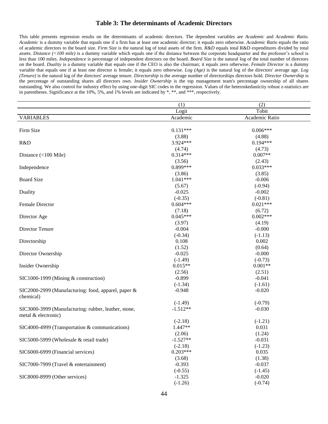## **Table 3: The determinants of Academic Directors**

This table presents regression results on the determinants of academic directors. The dependent variables are *Academic* and *Academic Ratio*. *Academic* is a dummy variable that equals one if a firm has at least one academic director; it equals zero otherwise. *Academic Ratio* equals the ratio of academic directors to the board size. *Firm Size* is the natural log of total assets of the firm. *R&D* equals total R&D expenditures divided by total assets. *Distance (<100 mile)* is a dummy variable which equals one if the distance between the corporate headquarter and the professor's school is less than 100 miles. *Independence* is percentage of independent directors on the board. *Board Size* is the natural log of the total number of directors on the board. *Duality* is a dummy variable that equals one if the CEO is also the chairman; it equals zero otherwise. *Female Director* is a dummy variable that equals one if at least one director is female; it equals zero otherwise. *Log (Age)* is the natural log of the directors' average age. *Log (Tenure)* is the natural log of the directors' average tenure. *Directorship* is the average number of directorships directors hold. *Director Ownership* is the percentage of outstanding shares all directors own. *Insider Ownership* is the top management team's percentage ownership of all shares outstanding. We also control for industry effect by using one-digit SIC codes in the regression. Values of the heteroskedasticity robust z-statistics are in parentheses. Significance at the 10%, 5%, and 1% levels are indicated by \*, \*\*, and \*\*\*, respectively.

|                                                      | (1)        | (2)            |  |
|------------------------------------------------------|------------|----------------|--|
|                                                      | Logit      | Tobit          |  |
| <b>VARIABLES</b>                                     | Academic   | Academic Ratio |  |
|                                                      |            |                |  |
| Firm Size                                            | $0.131***$ | $0.006***$     |  |
|                                                      | (3.88)     | (4.88)         |  |
| R&D                                                  | 3.924***   | $0.194***$     |  |
|                                                      | (4.74)     | (4.73)         |  |
| Distance $(<100$ Mile)                               | $0.314***$ | $0.007**$      |  |
|                                                      | (3.56)     | (2.43)         |  |
| Independence                                         | $0.899***$ | $0.033***$     |  |
|                                                      | (3.86)     | (3.85)         |  |
| <b>Board Size</b>                                    | $1.041***$ | $-0.006$       |  |
|                                                      | (5.67)     | $(-0.94)$      |  |
| Duality                                              | $-0.025$   | $-0.002$       |  |
|                                                      | $(-0.35)$  | $(-0.81)$      |  |
| Female Director                                      | $0.604***$ | $0.021***$     |  |
|                                                      | (7.18)     | (6.72)         |  |
| Director Age                                         | $0.045***$ | $0.002***$     |  |
|                                                      | (3.97)     | (4.19)         |  |
| Director Tenure                                      | $-0.004$   | $-0.000$       |  |
|                                                      | $(-0.34)$  | $(-1.13)$      |  |
| Directorship                                         | 0.108      | 0.002          |  |
|                                                      | (1.52)     | (0.64)         |  |
| Director Ownership                                   | $-0.025$   | $-0.000$       |  |
|                                                      | $(-1.49)$  | $(-0.73)$      |  |
| Insider Ownership                                    | $0.015**$  | $0.001**$      |  |
|                                                      | (2.56)     | (2.51)         |  |
| SIC1000-1999 (Mining & construction)                 | $-0.899$   | $-0.041$       |  |
|                                                      | $(-1.34)$  | $(-1.61)$      |  |
| SIC2000-2999 (Manufacturing: food, apparel, paper &  | $-0.948$   | $-0.020$       |  |
| chemical)                                            |            |                |  |
|                                                      | $(-1.49)$  | $(-0.79)$      |  |
| SIC3000-3999 (Manufacturing: rubber, leather, stone, | $-1.512**$ | $-0.030$       |  |
| metal & electronic)                                  |            |                |  |
|                                                      | $(-2.18)$  | $(-1.21)$      |  |
| SIC4000-4999 (Transportation & communications)       | 1.447**    | 0.031          |  |
|                                                      | (2.06)     | (1.24)         |  |
| SIC5000-5999 (Wholesale & retail trade)              | $-1.527**$ | $-0.031$       |  |
|                                                      | $(-2.18)$  | $(-1.23)$      |  |
| SIC6000-6999 (Financial services)                    | $0.203***$ | 0.035          |  |
|                                                      | (3.68)     | (1.38)         |  |
| SIC7000-7999 (Travel & entertainment)                | $-0.393$   | $-0.037$       |  |
|                                                      | $(-0.55)$  | $(-1.45)$      |  |
| SIC8000-8999 (Other services)                        | $-1.325$   | $-0.020$       |  |
|                                                      | $(-1.26)$  | $(-0.74)$      |  |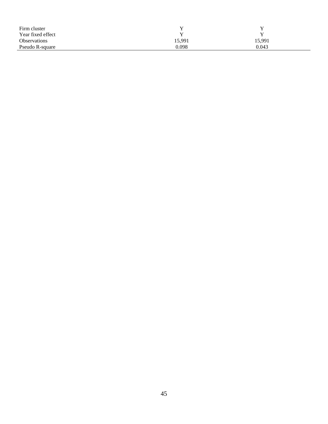| Firm cluster        |        |        |
|---------------------|--------|--------|
| Year fixed effect   |        | v      |
| <b>Observations</b> | 15,991 | 15,991 |
| Pseudo R-square     | 0.098  | 0.043  |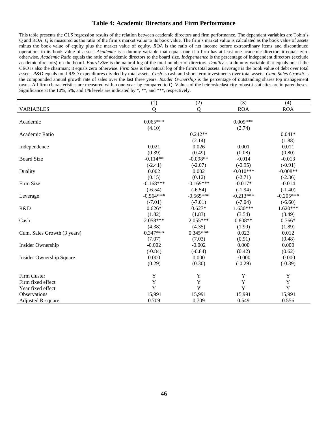## **Table 4: Academic Directors and Firm Performance**

This table presents the OLS regression results of the relation between academic directors and firm performance. The dependent variables are Tobin's Q and ROA. *Q* is measured as the ratio of the firm's market value to its book value. The firm's market value is calculated as the book value of assets minus the book value of equity plus the market value of equity. *ROA* is the ratio of net income before extraordinary items and discontinued operations to its book value of assets. *Academic* is a dummy variable that equals one if a firm has at least one academic director; it equals zero otherwise. *Academic Ratio* equals the ratio of academic directors to the board size. *Independence* is the percentage of independent directors (exclude academic directors) on the board. *Board Size* is the natural log of the total number of directors. *Duality* is a dummy variable that equals one if the CEO is also the chairman; it equals zero otherwise. *Firm Size* is the natural log of the firm's total assets. *Leverage* is the book value of debt over total assets. *R&D* equals total R&D expenditures divided by total assets. *Cash* is cash and short-term investments over total assets. *Cum. Sales Growth* is the compounded annual growth rate of sales over the last three years. *Insider Ownership* is the percentage of outstanding shares top management owns. All firm characteristics are measured with a one-year lag compared to Q. Values of the heteroskedasticity robust t-statistics are in parentheses. Significance at the 10%, 5%, and 1% levels are indicated by \*, \*\*, and \*\*\*, respectively.

|                                 | (1)         | (2)         | (3)         | (4)         |
|---------------------------------|-------------|-------------|-------------|-------------|
| <b>VARIABLES</b>                | Q           | Q           | <b>ROA</b>  | <b>ROA</b>  |
|                                 |             |             |             |             |
| Academic                        | $0.065***$  |             | $0.009***$  |             |
|                                 | (4.10)      |             | (2.74)      |             |
| Academic Ratio                  |             | $0.242**$   |             | $0.041*$    |
|                                 |             | (2.14)      |             | (1.88)      |
| Independence                    | 0.021       | 0.026       | 0.001       | 0.011       |
|                                 | (0.39)      | (0.49)      | (0.08)      | (0.80)      |
| <b>Board Size</b>               | $-0.114**$  | $-0.098**$  | $-0.014$    | $-0.013$    |
|                                 | $(-2.41)$   | $(-2.07)$   | $(-0.95)$   | $(-0.91)$   |
| Duality                         | 0.002       | 0.002       | $-0.010***$ | $-0.008**$  |
|                                 | (0.15)      | (0.12)      | $(-2.71)$   | $(-2.36)$   |
| Firm Size                       | $-0.168***$ | $-0.169***$ | $-0.017*$   | $-0.014$    |
|                                 | $(-6.54)$   | $(-6.54)$   | $(-1.94)$   | $(-1.40)$   |
| Leverage                        | $-0.564***$ | $-0.565***$ | $-0.213***$ | $-0.205***$ |
|                                 | $(-7.01)$   | $(-7.01)$   | $(-7.04)$   | $(-6.60)$   |
| R&D                             | $0.626*$    | $0.627*$    | $1.630***$  | $1.620***$  |
|                                 | (1.82)      | (1.83)      | (3.54)      | (3.49)      |
| Cash                            | 2.058***    | 2.055***    | $0.808**$   | $0.766*$    |
|                                 | (4.38)      | (4.35)      | (1.99)      | (1.89)      |
| Cum. Sales Growth (3 years)     | $0.347***$  | $0.345***$  | 0.023       | 0.012       |
|                                 | (7.07)      | (7.03)      | (0.91)      | (0.48)      |
| Insider Ownership               | $-0.002$    | $-0.002$    | 0.000       | 0.000       |
|                                 | $(-0.84)$   | $(-0.84)$   | (0.42)      | (0.62)      |
| <b>Insider Ownership Square</b> | 0.000       | 0.000       | $-0.000$    | $-0.000$    |
|                                 | (0.29)      | (0.30)      | $(-0.29)$   | $(-0.39)$   |
|                                 |             |             |             |             |
| Firm cluster                    | Y           | Y           | $\mathbf Y$ | Y           |
| Firm fixed effect               | $\mathbf Y$ | Y           | Y           | $\mathbf Y$ |
| Year fixed effect               | $\mathbf Y$ | $\mathbf Y$ | Y           | $\mathbf Y$ |
| <b>Observations</b>             | 15,991      | 15,991      | 15,991      | 15,991      |
| <b>Adjusted R-square</b>        | 0.709       | 0.709       | 0.549       | 0.556       |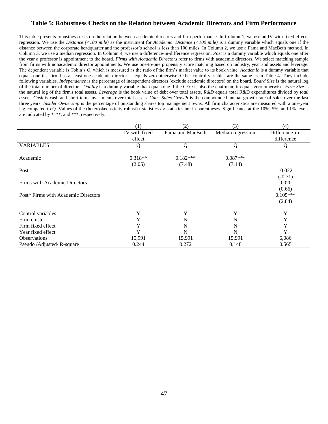# **Table 5: Robustness Checks on the Relation between Academic Directors and Firm Performance**

This table presents robustness tests on the relation between academic directors and firm performance. In Column 1, we use an IV with fixed effects regression. We use the *Distance (<100 mile)* as the instrument for *Academic*. *Distance (<100 mile)* is a dummy variable which equals one if the distance between the corporate headquarter and the professor's school is less than 100 miles. In Column 2, we use a Fama and MacBeth method. In Column 3, we use a median regression. In Column 4, we use a difference-in-difference regression. *Post* is a dummy variable which equals one after the year a professor is appointment to the board. *Firms with Academic Directors* refer to firms with academic directors. We select matching sample from firms with nonacademic director appointments. We use one-to-one propensity score matching based on industry, year and assets and leverage. The dependent variable is Tobin's Q, which is measured as the ratio of the firm's market value to its book value. *Academic* is a dummy variable that equals one if a firm has at least one academic director; it equals zero otherwise. Other control variables are the same as in Table 4. They include following variables. *Independence* is the percentage of independent directors (exclude academic directors) on the board. *Board Size* is the natural log of the total number of directors. *Duality* is a dummy variable that equals one if the CEO is also the chairman; it equals zero otherwise. *Firm Size* is the natural log of the firm's total assets. *Leverage* is the book value of debt over total assets. *R&D* equals total R&D expenditures divided by total assets. *Cash* is cash and short-term investments over total assets. *Cum. Sales Growth* is the compounded annual growth rate of sales over the last three years. *Insider Ownership* is the percentage of outstanding shares top management owns. All firm characteristics are measured with a one-year lag compared to Q. Values of the (heteroskedasticity robust) t-statistics / z-statistics are in parentheses. Significance at the 10%, 5%, and 1% levels are indicated by \*, \*\*, and \*\*\*, respectively.

|                                     | (1)           | (2)              | (3)               | (4)            |
|-------------------------------------|---------------|------------------|-------------------|----------------|
|                                     | IV with fixed | Fama and MacBeth | Median regression | Difference-in- |
|                                     | effect        |                  |                   | difference     |
| <b>VARIABLES</b>                    | Ω             | $\Omega$         | O                 | $\Omega$       |
|                                     |               |                  |                   |                |
| Academic                            | $0.318**$     | $0.182***$       | $0.087***$        |                |
|                                     | (2.05)        | (7.48)           | (7.14)            |                |
| Post                                |               |                  |                   | $-0.022$       |
|                                     |               |                  |                   | $(-0.71)$      |
| Firms with Academic Directors       |               |                  |                   | 0.020          |
|                                     |               |                  |                   | (0.66)         |
| Post* Firms with Academic Directors |               |                  |                   | $0.105***$     |
|                                     |               |                  |                   | (2.84)         |
|                                     |               |                  |                   |                |
| Control variables                   | Y             | Y                | Y                 | Y              |
| Firm cluster                        | Y             | N                | N                 | Y              |
| Firm fixed effect                   | Y             | N                | N                 | Y              |
| Year fixed effect                   | Y             | N                | N                 | Y              |
| <b>Observations</b>                 | 15,991        | 15,991           | 15,991            | 6,086          |
| Pseudo /Adjusted/ R-square          | 0.244         | 0.272            | 0.148             | 0.565          |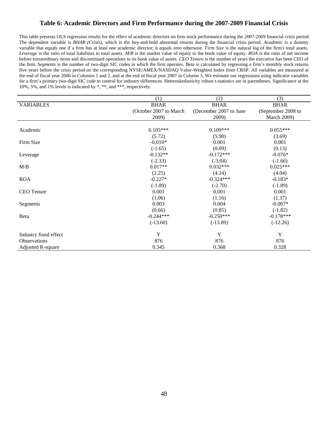# **Table 6: Academic Directors and Firm Performance during the 2007-2009 Financial Crisis**

This table presents OLS regression results for the effect of academic directors on firm stock performance during the 2007-2009 financial crisis period. The dependent variable is *BHAR (Crisis)*, which is the buy-and-hold abnormal returns during the financial crisis period. *Academic* is a dummy variable that equals one if a firm has at least one academic director; it equals zero otherwise. *Firm Size* is the natural log of the firm's total assets. *Leverage* is the ratio of total liabilities to total assets. *M/B* is the market value of equity to the book value of equity. *ROA* is the ratio of net income before extraordinary items and discontinued operations to its book value of assets. *CEO Tenure* is the number of years the executive has been CEO of the firm. *Segments* is the number of two-digit SIC codes in which the firm operates. *Beta* is calculated by regressing a firm's monthly stock returns five years before the crisis period on the corresponding NYSE/AMEX/NASDAQ Value-Weighted Index from CRSP. All variables are measured at the end of fiscal year 2006 in Columns 1 and 2, and at the end of fiscal year 2007 in Column 3. We estimate our regressions using indicator variables for a firm's primary two-digit SIC code to control for industry differences. Heteroskedasticity robust t-statistics are in parentheses. Significance at the 10%, 5%, and 1% levels is indicated by \*, \*\*, and \*\*\*, respectively.

|                          | (1)                    | (2)                    | (3)                |
|--------------------------|------------------------|------------------------|--------------------|
| <b>VARIABLES</b>         | <b>BHAR</b>            | <b>BHAR</b>            | <b>BHAR</b>        |
|                          | (October 2007 to March | (December 2007 to June | (September 2008 to |
|                          | 2009)                  | 2009)                  | <b>March 2009)</b> |
|                          |                        |                        |                    |
| Academic                 | $0.105***$             | $0.109***$             | $0.055***$         |
|                          | (5.72)                 | (5.90)                 | (3.69)             |
| Firm Size                | $-0.010*$              | 0.001                  | 0.001              |
|                          | $(-1.65)$              | (0.09)                 | (0.13)             |
| Leverage                 | $-0.132**$             | $-0.172***$            | $-0.076*$          |
|                          | $(-2.33)$              | $(-3.04)$              | $(-1.66)$          |
| M/B                      | $0.017**$              | $0.032***$             | $0.025***$         |
|                          | (2.25)                 | (4.24)                 | (4.04)             |
| <b>ROA</b>               | $-0.227*$              | $-0.324***$            | $-0.183*$          |
|                          | $(-1.89)$              | $(-2.70)$              | $(-1.89)$          |
| <b>CEO</b> Tenure        | 0.001                  | 0.001                  | 0.001              |
|                          | (1.06)                 | (1.16)                 | (1.37)             |
| Segments                 | 0.003                  | 0.004                  | $-0.007*$          |
|                          | (0.66)                 | (0.85)                 | $(-1.82)$          |
| Beta                     | $-0.244***$            | $-0.250***$            | $-0.178***$        |
|                          | $(-13.60)$             | $(-13.89)$             | $(-12.26)$         |
| Industry fixed effect    | Y                      | Y                      | Y                  |
| <b>Observations</b>      | 876                    | 876                    | 876                |
| <b>Adjusted R-square</b> | 0.345                  | 0.368                  | 0.328              |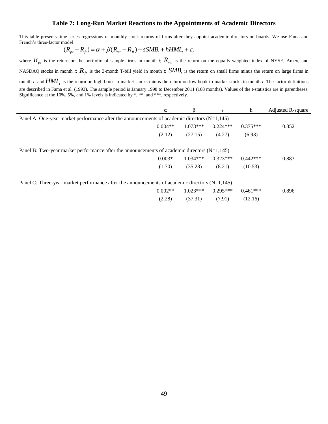## **Table 7: Long-Run Market Reactions to the Appointments of Academic Directors**

This table presents time-series regressions of monthly stock returns of firms after they appoint academic directors on boards. We use Fama and French's three-factor model

$$
(R_{pt} - R_{ft}) = \alpha + \beta (R_{mt} - R_{ft}) + sSMB_t + hHML_t + \varepsilon_t
$$

where  $R_{pt}$  is the return on the portfolio of sample firms in month *t*;  $R_{mt}$  is the return on the equally-weighted index of NYSE, Amex, and NASDAQ stocks in month *t*;  $R_{ft}$  is the 3-month T-bill yield in month *t*;  $SMB_t$  is the return on small firms minus the return on large firms in month *t*; and *HML<sup>t</sup>* is the return on high book-to-market stocks minus the return on low book-to-market stocks in month *t*. The factor definitions are described in Fama et al. (1993). The sample period is January 1998 to December 2011 (168 months). Values of the t-statistics are in parentheses. Significance at the 10%, 5%, and 1% levels is indicated by \*, \*\*, and \*\*\*, respectively.

|                                                                                                  | $\alpha$  |            | S          | h          | Adjusted R-square |
|--------------------------------------------------------------------------------------------------|-----------|------------|------------|------------|-------------------|
| Panel A: One-year market performance after the announcements of academic directors $(N=1,145)$   |           |            |            |            |                   |
|                                                                                                  | $0.004**$ | $1.073***$ | $0.224***$ | $0.375***$ | 0.852             |
|                                                                                                  | (2.12)    | (27.15)    | (4.27)     | (6.93)     |                   |
| Panel B: Two-year market performance after the announcements of academic directors $(N=1,145)$   |           |            |            |            |                   |
|                                                                                                  | $0.003*$  | $1.034***$ | $0.323***$ | $0.442***$ | 0.883             |
|                                                                                                  | (1.70)    | (35.28)    | (8.21)     | (10.53)    |                   |
| Panel C: Three-year market performance after the announcements of academic directors $(N=1,145)$ |           |            |            |            |                   |
|                                                                                                  | $0.002**$ | $1.023***$ | $0.295***$ | $0.461***$ | 0.896             |
|                                                                                                  | (2.28)    | (37.31)    | (7.91)     | (12.16)    |                   |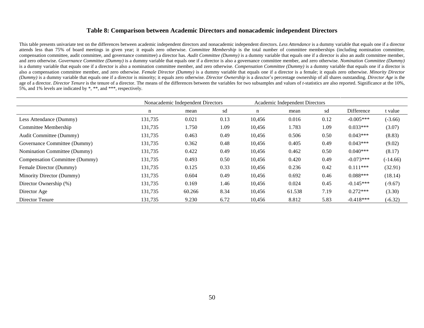## **Table 8: Comparison between Academic Directors and nonacademic independent Directors**

This table presents univariate test on the differences between academic independent directors and nonacademic independent directors. *Less Attendance* is a dummy variable that equals one if a director attends less than 75% of board meetings in given year; it equals zero otherwise. *Committee Membership* is the total number of committee memberships (including nomination committee, compensation committee, audit committee, and governance committee) a director has*. Audit Committee (Dummy)* is a dummy variable that equals one if a director is also an audit committee member, and zero otherwise. *Governance Committee (Dummy)* is a dummy variable that equals one if a director is also a governance committee member, and zero otherwise. *Nomination Committee (Dummy)* is a dummy variable that equals one if a director is also a nomination committee member, and zero otherwise. *Compensation Committee (Dummy)* is a dummy variable that equals one if a director is also a compensation committee member, and zero otherwise. *Female Director (Dummy)* is a dummy variable that equals one if a director is a female; it equals zero otherwise. *Minority Director* (Dummy) is a dummy variable that equals one if a director is minority; it equals zero otherwise. Director Ownership is a director's percentage ownership of all shares outstanding. Director Age is the age of a director. Director Tenure is the tenure of a director. The means of the differences between the variables for two subsamples and values of *t*-statistics are also reported. Significance at the 10%, 5%, and 1% levels are indicated by \*, \*\*, and \*\*\*, respectively.

|                                | Nonacademic Independent Directors |        | Academic Independent Directors |        |        |      |             |            |
|--------------------------------|-----------------------------------|--------|--------------------------------|--------|--------|------|-------------|------------|
|                                | n                                 | mean   | sd                             | n      | mean   | sd   | Difference  | t value    |
| Less Attendance (Dummy)        | 131,735                           | 0.021  | 0.13                           | 10,456 | 0.016  | 0.12 | $-0.005***$ | $(-3.66)$  |
| Committee Membership           | 131,735                           | 1.750  | 1.09                           | 10.456 | 1.783  | 1.09 | $0.033***$  | (3.07)     |
| Audit Committee (Dummy)        | 131,735                           | 0.463  | 0.49                           | 10,456 | 0.506  | 0.50 | $0.043***$  | (8.83)     |
| Governance Committee (Dummy)   | 131,735                           | 0.362  | 0.48                           | 10,456 | 0.405  | 0.49 | $0.043***$  | (9.02)     |
| Nomination Committee (Dummy)   | 131,735                           | 0.422  | 0.49                           | 10,456 | 0.462  | 0.50 | $0.040***$  | (8.17)     |
| Compensation Committee (Dummy) | 131,735                           | 0.493  | 0.50                           | 10,456 | 0.420  | 0.49 | $-0.073***$ | $(-14.66)$ |
| Female Director (Dummy)        | 131,735                           | 0.125  | 0.33                           | 10,456 | 0.236  | 0.42 | $0.111***$  | (32.91)    |
| Minority Director (Dummy)      | 131,735                           | 0.604  | 0.49                           | 10,456 | 0.692  | 0.46 | $0.088***$  | (18.14)    |
| Director Ownership (%)         | 131,735                           | 0.169  | 1.46                           | 10,456 | 0.024  | 0.45 | $-0.145***$ | $(-9.67)$  |
| Director Age                   | 131,735                           | 60.266 | 8.34                           | 10,456 | 61.538 | 7.19 | $0.272***$  | (3.30)     |
| Director Tenure                | 131,735                           | 9.230  | 6.72                           | 10,456 | 8.812  | 5.83 | $-0.418***$ | $(-6.32)$  |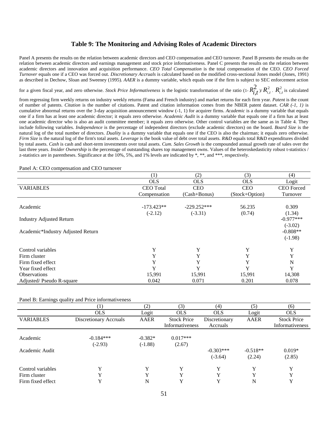## **Table 9: The Monitoring and Advising Roles of Academic Directors**

Panel A presents the results on the relation between academic directors and CEO compensation and CEO turnover. Panel B presents the results on the relation between academic directors and earnings management and stock price informativeness. Panel C presents the results on the relation between academic directors and innovation and acquisition performance. *CEO Total Compensation* is the total compensation of the CEO. *CEO Forced Turnover* equals one if a CEO was forced out. *Discretionary Accruals* is calculated based on the modified cross-sectional Jones model (Jones, 1991) as described in Dechow, Sloan and Sweeney (1995). *AAER* is a dummy variable, which equals one if the firm is subject to SEC enforcement action

for a given fiscal year, and zero otherwise. *Stock Price Informativeness* is the logistic transformation of the ratio  $(1-R_i^2)$  $R_{i,t}^2 \vee R_{i,t}^2$ .  $R_{i,t}^2$  is calculated

from regressing firm weekly returns on industry weekly returns (Fama and French industry) and market returns for each firm year. *Patent* is the count of number of patents. *Citation* is the number of citations. Patent and citation information comes from the NBER patent dataset. *CAR (-1, 1)* is cumulative abnormal returns over the 3-day acquisition announcement window (-1, 1) for acquirer firms. *Academic* is a dummy variable that equals one if a firm has at least one academic director; it equals zero otherwise. *Academic Audit* is a dummy variable that equals one if a firm has at least one academic director who is also an audit committee member; it equals zero otherwise. Other control variables are the same as in Table 4. They include following variables. *Independence* is the percentage of independent directors (exclude academic directors) on the board. *Board Size* is the natural log of the total number of directors. *Duality* is a dummy variable that equals one if the CEO is also the chairman; it equals zero otherwise. *Firm Size* is the natural log of the firm's total assets. *Leverage* is the book value of debt over total assets. *R&D* equals total R&D expenditures divided by total assets. *Cash* is cash and short-term investments over total assets. *Cum. Sales Growth* is the compounded annual growth rate of sales over the last three years. *Insider Ownership* is the percentage of outstanding shares top management owns. Values of the heteroskedasticity robust t-statistics / z-statistics are in parentheses. Significance at the 10%, 5%, and 1% levels are indicated by \*, \*\*, and \*\*\*, respectively.

|                                   | (1)              | (2)           | (3)            | (4)               |
|-----------------------------------|------------------|---------------|----------------|-------------------|
|                                   | <b>OLS</b>       | <b>OLS</b>    | <b>OLS</b>     | Logit             |
| <b>VARIABLES</b>                  | <b>CEO</b> Total | <b>CEO</b>    | <b>CEO</b>     | <b>CEO</b> Forced |
|                                   | Compensation     | (Cash+Bonus)  | (Stock+Option) | Turnover          |
|                                   |                  |               |                |                   |
| Academic                          | $-173.423**$     | $-229.252***$ | 56.235         | 0.309             |
|                                   | $(-2.12)$        | $(-3.31)$     | (0.74)         | (1.34)            |
| <b>Industry Adjusted Return</b>   |                  |               |                | $-0.977***$       |
|                                   |                  |               |                | $(-3.02)$         |
| Academic*Industry Adjusted Return |                  |               |                | $-0.808**$        |
|                                   |                  |               |                | $(-1.98)$         |
| Control variables                 | Y                | Y             | Y              | Y                 |
| Firm cluster                      | Y                | Y             | Y              | Y                 |
| Firm fixed effect                 | Y                | Y             | Y              | N                 |
| Year fixed effect                 | Y                | Y             | Y              | Y                 |
| <b>Observations</b>               | 15,991           | 15,991        | 15,991         | 14,308            |
| Adjusted/Pseudo R-square          | 0.042            | 0.071         | 0.201          | 0.078             |

#### Panel A: CEO compensation and CEO turnover

#### Panel B: Earnings quality and Price informativeness

|                   |                        | (2)       | (3)                | (4)           | (5)         | (6)                |
|-------------------|------------------------|-----------|--------------------|---------------|-------------|--------------------|
|                   | <b>OLS</b>             | Logit     | <b>OLS</b>         | <b>OLS</b>    | Logit       | <b>OLS</b>         |
| <b>VARIABLES</b>  | Discretionary Accruals | AAER      | <b>Stock Price</b> | Discretionary | <b>AAER</b> | <b>Stock Price</b> |
|                   |                        |           | Informativeness    | Accruals      |             | Informativeness    |
| Academic          | $-0.184***$            | $-0.382*$ | $0.017***$         |               |             |                    |
|                   | $(-2.93)$              | $(-1.88)$ | (2.67)             |               |             |                    |
| Academic Audit    |                        |           |                    | $-0.303***$   | $-0.518**$  | $0.019*$           |
|                   |                        |           |                    | $(-3.64)$     | (2.24)      | (2.85)             |
| Control variables | $\mathbf v$            | Y         | Y                  | Y             | Y           | Y                  |
| Firm cluster      |                        | v         | Y                  | v             | Y           | Y                  |
| Firm fixed effect |                        | N         | Y                  | Y             | N           | Y                  |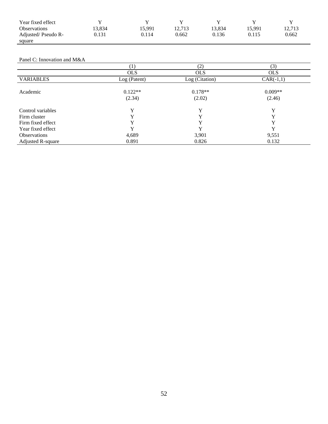| Year fixed effect   |       |        |        |        |        |        |
|---------------------|-------|--------|--------|--------|--------|--------|
| <b>Observations</b> | 3.834 | 15.991 | 12.713 | 13,834 | 15.991 | 12.713 |
| Adjusted/Pseudo R-  | 0.131 | 0.114  | 0.662  | 0.136  | 0.115  | 0.662  |
| square              |       |        |        |        |        |        |

#### Panel C: Innovation and M&A

|                     |                     | (2)                 | (3)                 |
|---------------------|---------------------|---------------------|---------------------|
|                     | <b>OLS</b>          | <b>OLS</b>          | <b>OLS</b>          |
| <b>VARIABLES</b>    | Log (Patent)        | Log (Citation)      | $CAR(-1,1)$         |
| Academic            | $0.122**$<br>(2.34) | $0.178**$<br>(2.02) | $0.009**$<br>(2.46) |
| Control variables   | v                   | v                   | v                   |
| Firm cluster        | v                   | v                   | v                   |
| Firm fixed effect   |                     | v                   | v                   |
| Year fixed effect   |                     |                     |                     |
| <b>Observations</b> | 4,689               | 3,901               | 9,551               |
| Adjusted R-square   | 0.891               | 0.826               | 0.132               |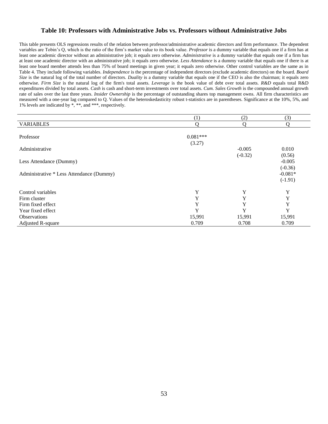## **Table 10: Professors with Administrative Jobs vs. Professors without Administrative Jobs**

This table presents OLS regressions results of the relation between professor/administrative academic directors and firm performance. The dependent variables are Tobin's Q, which is the ratio of the firm's market value to its book value. *Professor* is a dummy variable that equals one if a firm has at least one academic director without an administrative job; it equals zero otherwise. *Administrative* is a dummy variable that equals one if a firm has at least one academic director with an administrative job; it equals zero otherwise. *Less Attendance* is a dummy variable that equals one if there is at least one board member attends less than 75% of board meetings in given year; it equals zero otherwise. Other control variables are the same as in Table 4. They include following variables. *Independence* is the percentage of independent directors (exclude academic directors) on the board. *Board Size* is the natural log of the total number of directors. *Duality* is a dummy variable that equals one if the CEO is also the chairman; it equals zero otherwise. *Firm Size* is the natural log of the firm's total assets. *Leverage* is the book value of debt over total assets. *R&D* equals total R&D expenditures divided by total assets. *Cash* is cash and short-term investments over total assets. *Cum. Sales Growth* is the compounded annual growth rate of sales over the last three years. *Insider Ownership* is the percentage of outstanding shares top management owns. All firm characteristics are measured with a one-year lag compared to Q. Values of the heteroskedasticity robust t-statistics are in parentheses. Significance at the 10%, 5%, and 1% levels are indicated by \*, \*\*, and \*\*\*, respectively.

|                                          | (1)                  | (2)       | (3)                                 |
|------------------------------------------|----------------------|-----------|-------------------------------------|
| <b>VARIABLES</b>                         | Ω                    | O         | $\Omega$                            |
| Professor                                | $0.081***$<br>(3.27) |           |                                     |
| Administrative                           |                      | $-0.005$  | 0.010                               |
|                                          |                      | $(-0.32)$ | (0.56)                              |
| Less Attendance (Dummy)                  |                      |           | $-0.005$                            |
| Administrative * Less Attendance (Dummy) |                      |           | $(-0.36)$<br>$-0.081*$<br>$(-1.91)$ |
| Control variables                        | Y                    | Y         | Y                                   |
| Firm cluster                             | Y                    | Y         | Y                                   |
| Firm fixed effect                        | Y                    | Y         | Y                                   |
| Year fixed effect                        | Y                    | Y         | Y                                   |
| <b>Observations</b>                      | 15,991               | 15,991    | 15,991                              |
| Adjusted R-square                        | 0.709                | 0.708     | 0.709                               |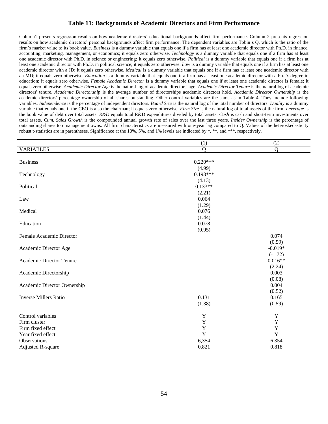# **Table 11: Backgrounds of Academic Directors and Firm Performance**

Column1 presents regression results on how academic directors' educational backgrounds affect firm performance. Column 2 presents regression results on how academic directors' personal backgrounds affect firm performance. The dependent variables are Tobin's Q, which is the ratio of the firm's market value to its book value. *Business* is a dummy variable that equals one if a firm has at least one academic director with Ph.D. in finance, accounting, marketing, management, or economics; it equals zero otherwise. *Technology* is a dummy variable that equals one if a firm has at least one academic director with Ph.D. in science or engineering; it equals zero otherwise. *Political* is a dummy variable that equals one if a firm has at least one academic director with Ph.D. in political science; it equals zero otherwise. *Law* is a dummy variable that equals one if a firm has at least one academic director with a JD; it equals zero otherwise. *Medical* is a dummy variable that equals one if a firm has at least one academic director with an MD; it equals zero otherwise. *Education* is a dummy variable that equals one if a firm has at least one academic director with a Ph.D. degree in education; it equals zero otherwise. *Female Academic Director* is a dummy variable that equals one if at least one academic director is female; it equals zero otherwise. *Academic Director Age* is the natural log of academic directors' age. *Academic Director Tenure* is the natural log of academic directors' tenure. *Academic Directorship* is the average number of directorships academic directors hold. *Academic Director Ownership* is the academic directors' percentage ownership of all shares outstanding. Other control variables are the same as in Table 4. They include following variables. *Independence* is the percentage of independent directors. *Board Size* is the natural log of the total number of directors. *Duality* is a dummy variable that equals one if the CEO is also the chairman; it equals zero otherwise. *Firm Size* is the natural log of total assets of the firm. *Leverage* is the book value of debt over total assets. *R&D* equals total R&D expenditures divided by total assets. *Cash* is cash and short-term investments over total assets. *Cum. Sales Growth* is the compounded annual growth rate of sales over the last three years. *Insider Ownership* is the percentage of outstanding shares top management owns. All firm characteristics are measured with one-year lag compared to Q. Values of the heteroskedasticity robust t-statistics are in parentheses. Significance at the 10%, 5%, and 1% levels are indicated by \*, \*\*, and \*\*\*, respectively.

|                              | (1)            | (2)            |
|------------------------------|----------------|----------------|
| <b>VARIABLES</b>             | $\overline{Q}$ | $\overline{Q}$ |
|                              |                |                |
| <b>Business</b>              | $0.220***$     |                |
|                              | (4.99)         |                |
| Technology                   | $0.193***$     |                |
|                              | (4.13)         |                |
| Political                    | $0.133**$      |                |
|                              | (2.21)         |                |
| Law                          | 0.064          |                |
|                              | (1.29)         |                |
| Medical                      | 0.076          |                |
|                              | (1.44)         |                |
| Education                    | 0.078          |                |
|                              | (0.95)         |                |
| Female Academic Director     |                | 0.074          |
|                              |                | (0.59)         |
| Academic Director Age        |                | $-0.019*$      |
|                              |                | $(-1.72)$      |
| Academic Director Tenure     |                | $0.016**$      |
|                              |                | (2.24)         |
| Academic Directorship        |                | 0.003          |
|                              |                | (0.08)         |
| Academic Director Ownership  |                | 0.004          |
|                              |                | (0.52)         |
| <b>Inverse Millers Ratio</b> | 0.131          | 0.165          |
|                              | (1.38)         | (0.59)         |
| Control variables            | Y              | Y              |
| Firm cluster                 | Y              | $\mathbf Y$    |
| Firm fixed effect            | Y              | $\mathbf Y$    |
| Year fixed effect            | Y              | Y              |
| Observations                 | 6,354          | 6,354          |
| <b>Adjusted R-square</b>     | 0.821          | 0.818          |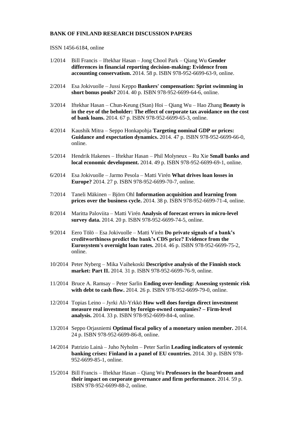#### **BANK OF FINLAND RESEARCH DISCUSSION PAPERS**

#### ISSN 1456-6184, online

- 1/2014 Bill Francis Iftekhar Hasan Jong Chool Park Qiang Wu **Gender differences in financial reporting decision-making: Evidence from accounting conservatism.** 2014. 58 p. ISBN 978-952-6699-63-9, online.
- 2/2014 Esa Jokivuolle Jussi Keppo **Bankers' compensation: Sprint swimming in short bonus pools?** 2014. 40 p. ISBN 978-952-6699-64-6, online.
- 3/2014 Iftekhar Hasan Chun-Keung (Stan) Hoi Qiang Wu Hao Zhang **Beauty is in the eye of the beholder: The effect of corporate tax avoidance on the cost of bank loans.** 2014. 67 p. ISBN 978-952-6699-65-3, online.
- 4/2014 Kaushik Mitra Seppo Honkapohja **Targeting nominal GDP or prices: Guidance and expectation dynamics.** 2014. 47 p. ISBN 978-952-6699-66-0, online.
- 5/2014 Hendrik Hakenes Iftekhar Hasan Phil Molyneux Ru Xie **Small banks and local economic development.** 2014. 49 p. ISBN 978-952-6699-69-1, online.
- 6/2014 Esa Jokivuolle Jarmo Pesola Matti Virén **What drives loan losses in Europe?** 2014. 27 p. ISBN 978-952-6699-70-7, online.
- 7/2014 Taneli Mäkinen Björn Ohl **Information acquisition and learning from prices over the business cycle.** 2014. 38 p. ISBN 978-952-6699-71-4, online.
- 8/2014 Maritta Paloviita Matti Virén **Analysis of forecast errors in micro-level survey data.** 2014. 20 p. ISBN 978-952-6699-74-5, online.
- 9/2014 Eero Tölö Esa Jokivuolle Matti Virén **Do private signals of a bank's creditworthiness predict the bank's CDS price? Evidence from the Eurosystem's overnight loan rates.** 2014. 46 p. ISBN 978-952-6699-75-2, online.
- 10/2014 Peter Nyberg Mika Vaihekoski **Descriptive analysis of the Finnish stock market: Part II.** 2014. 31 p. ISBN 978-952-6699-76-9, online.
- 11/2014 Bruce A. Ramsay Peter Sarlin **Ending over-lending: Assessing systemic risk with debt to cash flow.** 2014. 26 p. ISBN 978-952-6699-79-0, online.
- 12/2014 Topias Leino Jyrki Ali-Yrkkö **How well does foreign direct investment measure real investment by foreign-owned companies? – Firm-level analysis.** 2014. 33 p. ISBN 978-952-6699-84-4, online.
- 13/2014 Seppo Orjasniemi **Optimal fiscal policy of a monetary union member.** 2014. 24 p. ISBN 978-952-6699-86-8, online.
- 14/2014 Patrizio Lainà Juho Nyholm Peter Sarlin **Leading indicators of systemic banking crises: Finland in a panel of EU countries.** 2014. 30 p. ISBN 978- 952-6699-85-1, online.
- 15/2014 Bill Francis Iftekhar Hasan Qiang Wu **Professors in the boardroom and their impact on corporate governance and firm performance.** 2014. 59 p. ISBN 978-952-6699-88-2, online.